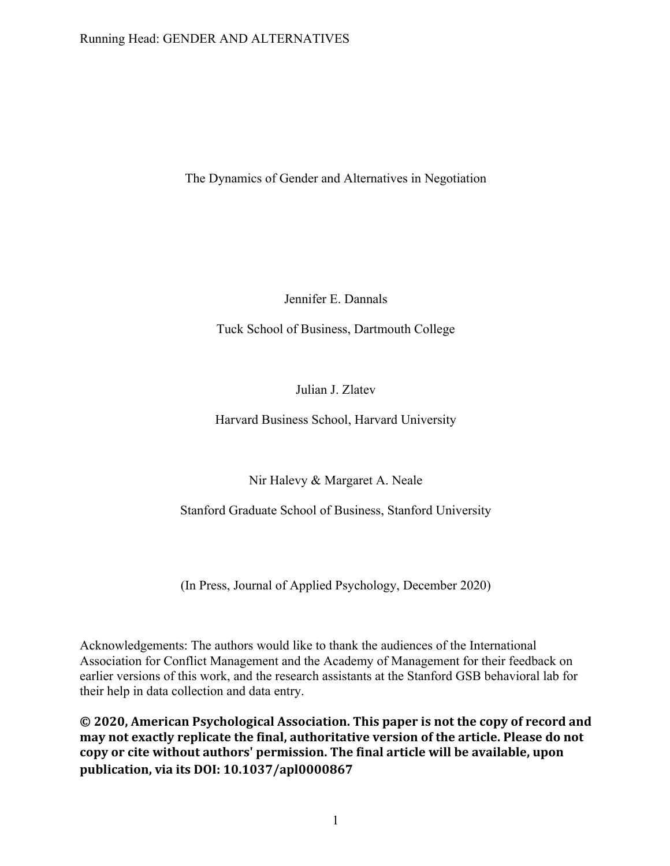## Running Head: GENDER AND ALTERNATIVES

The Dynamics of Gender and Alternatives in Negotiation

Jennifer E. Dannals

Tuck School of Business, Dartmouth College

Julian J. Zlatev

Harvard Business School, Harvard University

Nir Halevy & Margaret A. Neale

Stanford Graduate School of Business, Stanford University

(In Press, Journal of Applied Psychology, December 2020)

Acknowledgements: The authors would like to thank the audiences of the International Association for Conflict Management and the Academy of Management for their feedback on earlier versions of this work, and the research assistants at the Stanford GSB behavioral lab for their help in data collection and data entry.

© 2020, American Psychological Association. This paper is not the copy of record and may not exactly replicate the final, authoritative version of the article. Please do not copy or cite without authors' permission. The final article will be available, upon **publication, via its DOI: 10.1037/apl0000867**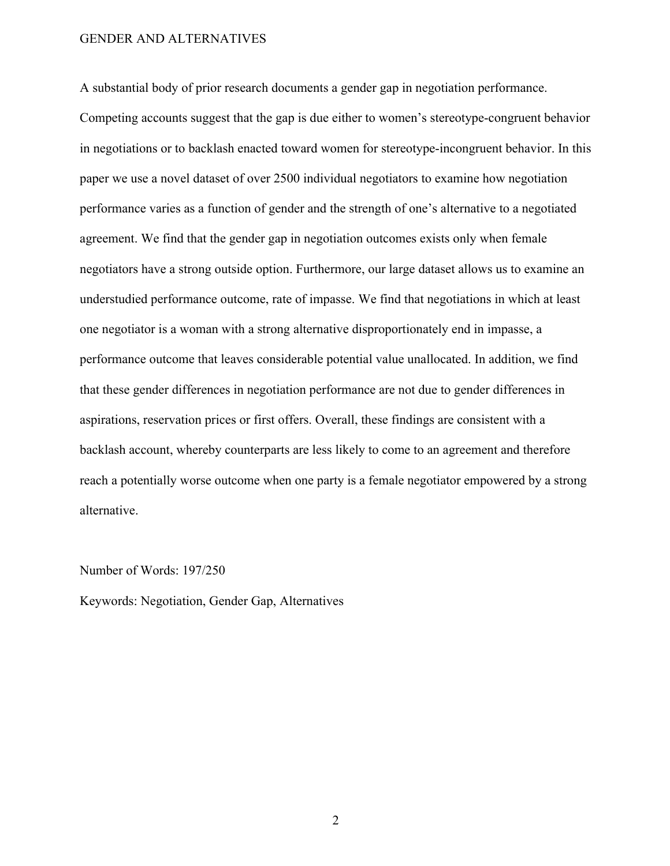A substantial body of prior research documents a gender gap in negotiation performance.

Competing accounts suggest that the gap is due either to women's stereotype-congruent behavior in negotiations or to backlash enacted toward women for stereotype-incongruent behavior. In this paper we use a novel dataset of over 2500 individual negotiators to examine how negotiation performance varies as a function of gender and the strength of one's alternative to a negotiated agreement. We find that the gender gap in negotiation outcomes exists only when female negotiators have a strong outside option. Furthermore, our large dataset allows us to examine an understudied performance outcome, rate of impasse. We find that negotiations in which at least one negotiator is a woman with a strong alternative disproportionately end in impasse, a performance outcome that leaves considerable potential value unallocated. In addition, we find that these gender differences in negotiation performance are not due to gender differences in aspirations, reservation prices or first offers. Overall, these findings are consistent with a backlash account, whereby counterparts are less likely to come to an agreement and therefore reach a potentially worse outcome when one party is a female negotiator empowered by a strong alternative.

#### Number of Words: 197/250

Keywords: Negotiation, Gender Gap, Alternatives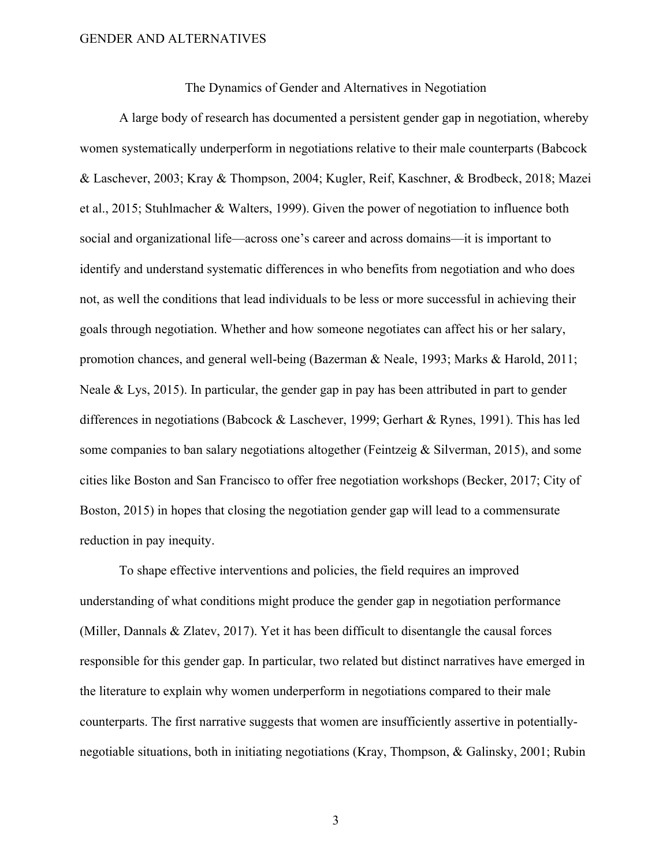The Dynamics of Gender and Alternatives in Negotiation

A large body of research has documented a persistent gender gap in negotiation, whereby women systematically underperform in negotiations relative to their male counterparts (Babcock & Laschever, 2003; Kray & Thompson, 2004; Kugler, Reif, Kaschner, & Brodbeck, 2018; Mazei et al., 2015; Stuhlmacher & Walters, 1999). Given the power of negotiation to influence both social and organizational life—across one's career and across domains—it is important to identify and understand systematic differences in who benefits from negotiation and who does not, as well the conditions that lead individuals to be less or more successful in achieving their goals through negotiation. Whether and how someone negotiates can affect his or her salary, promotion chances, and general well-being (Bazerman & Neale, 1993; Marks & Harold, 2011; Neale & Lys, 2015). In particular, the gender gap in pay has been attributed in part to gender differences in negotiations (Babcock & Laschever, 1999; Gerhart & Rynes, 1991). This has led some companies to ban salary negotiations altogether (Feintzeig & Silverman, 2015), and some cities like Boston and San Francisco to offer free negotiation workshops (Becker, 2017; City of Boston, 2015) in hopes that closing the negotiation gender gap will lead to a commensurate reduction in pay inequity.

To shape effective interventions and policies, the field requires an improved understanding of what conditions might produce the gender gap in negotiation performance (Miller, Dannals & Zlatev, 2017). Yet it has been difficult to disentangle the causal forces responsible for this gender gap. In particular, two related but distinct narratives have emerged in the literature to explain why women underperform in negotiations compared to their male counterparts. The first narrative suggests that women are insufficiently assertive in potentiallynegotiable situations, both in initiating negotiations (Kray, Thompson, & Galinsky, 2001; Rubin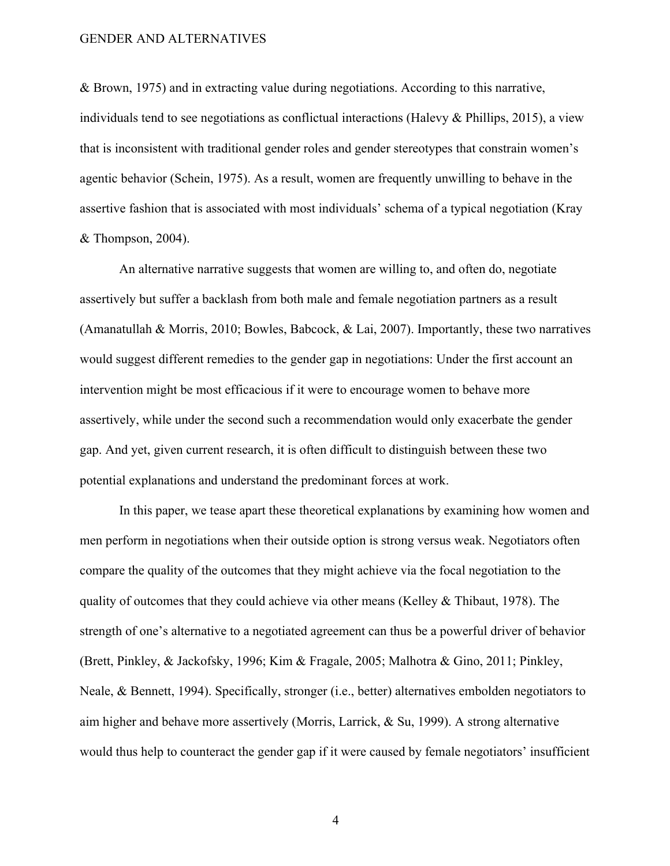& Brown, 1975) and in extracting value during negotiations. According to this narrative, individuals tend to see negotiations as conflictual interactions (Halevy & Phillips, 2015), a view that is inconsistent with traditional gender roles and gender stereotypes that constrain women's agentic behavior (Schein, 1975). As a result, women are frequently unwilling to behave in the assertive fashion that is associated with most individuals' schema of a typical negotiation (Kray & Thompson, 2004).

An alternative narrative suggests that women are willing to, and often do, negotiate assertively but suffer a backlash from both male and female negotiation partners as a result (Amanatullah & Morris, 2010; Bowles, Babcock, & Lai, 2007). Importantly, these two narratives would suggest different remedies to the gender gap in negotiations: Under the first account an intervention might be most efficacious if it were to encourage women to behave more assertively, while under the second such a recommendation would only exacerbate the gender gap. And yet, given current research, it is often difficult to distinguish between these two potential explanations and understand the predominant forces at work.

In this paper, we tease apart these theoretical explanations by examining how women and men perform in negotiations when their outside option is strong versus weak. Negotiators often compare the quality of the outcomes that they might achieve via the focal negotiation to the quality of outcomes that they could achieve via other means (Kelley & Thibaut, 1978). The strength of one's alternative to a negotiated agreement can thus be a powerful driver of behavior (Brett, Pinkley, & Jackofsky, 1996; Kim & Fragale, 2005; Malhotra & Gino, 2011; Pinkley, Neale, & Bennett, 1994). Specifically, stronger (i.e., better) alternatives embolden negotiators to aim higher and behave more assertively (Morris, Larrick, & Su, 1999). A strong alternative would thus help to counteract the gender gap if it were caused by female negotiators' insufficient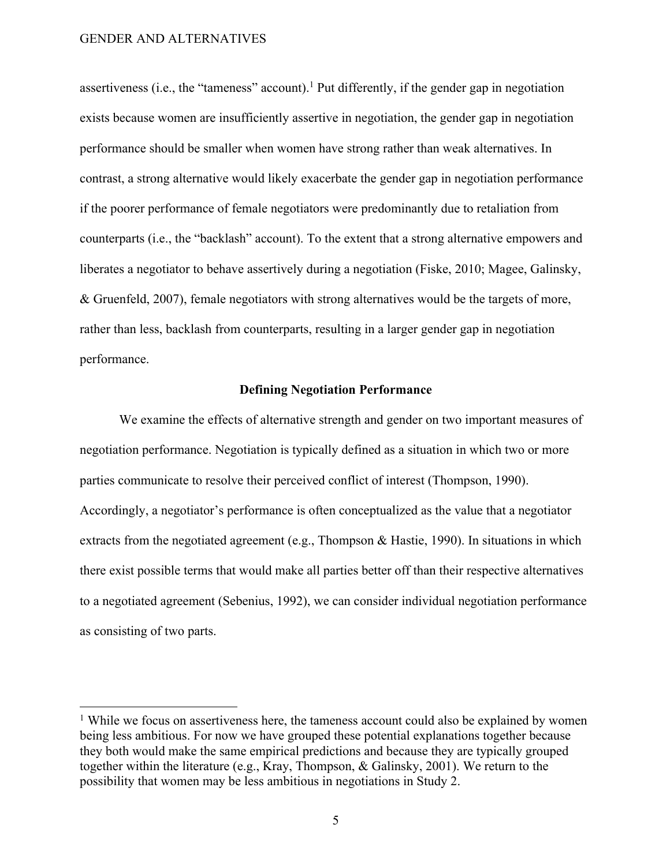assertiveness (i.e., the "tameness" account).<sup>1</sup> Put differently, if the gender gap in negotiation exists because women are insufficiently assertive in negotiation, the gender gap in negotiation performance should be smaller when women have strong rather than weak alternatives. In contrast, a strong alternative would likely exacerbate the gender gap in negotiation performance if the poorer performance of female negotiators were predominantly due to retaliation from counterparts (i.e., the "backlash" account). To the extent that a strong alternative empowers and liberates a negotiator to behave assertively during a negotiation (Fiske, 2010; Magee, Galinsky, & Gruenfeld, 2007), female negotiators with strong alternatives would be the targets of more, rather than less, backlash from counterparts, resulting in a larger gender gap in negotiation performance.

#### **Defining Negotiation Performance**

We examine the effects of alternative strength and gender on two important measures of negotiation performance. Negotiation is typically defined as a situation in which two or more parties communicate to resolve their perceived conflict of interest (Thompson, 1990). Accordingly, a negotiator's performance is often conceptualized as the value that a negotiator extracts from the negotiated agreement (e.g., Thompson & Hastie, 1990). In situations in which there exist possible terms that would make all parties better off than their respective alternatives to a negotiated agreement (Sebenius, 1992), we can consider individual negotiation performance as consisting of two parts.

<sup>&</sup>lt;sup>1</sup> While we focus on assertiveness here, the tameness account could also be explained by women being less ambitious. For now we have grouped these potential explanations together because they both would make the same empirical predictions and because they are typically grouped together within the literature (e.g., Kray, Thompson, & Galinsky, 2001). We return to the possibility that women may be less ambitious in negotiations in Study 2.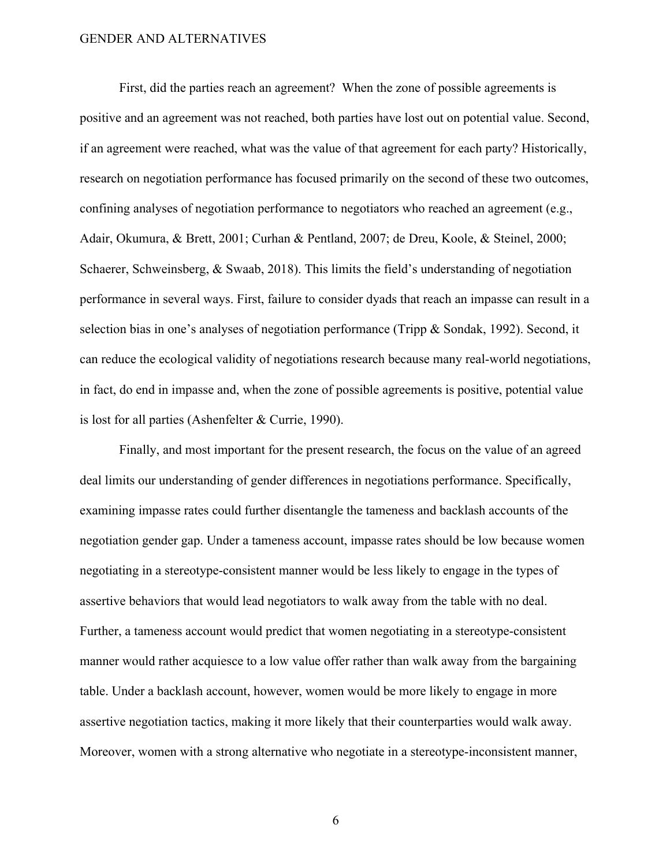First, did the parties reach an agreement? When the zone of possible agreements is positive and an agreement was not reached, both parties have lost out on potential value. Second, if an agreement were reached, what was the value of that agreement for each party? Historically, research on negotiation performance has focused primarily on the second of these two outcomes, confining analyses of negotiation performance to negotiators who reached an agreement (e.g., Adair, Okumura, & Brett, 2001; Curhan & Pentland, 2007; de Dreu, Koole, & Steinel, 2000; Schaerer, Schweinsberg, & Swaab, 2018). This limits the field's understanding of negotiation performance in several ways. First, failure to consider dyads that reach an impasse can result in a selection bias in one's analyses of negotiation performance (Tripp & Sondak, 1992). Second, it can reduce the ecological validity of negotiations research because many real-world negotiations, in fact, do end in impasse and, when the zone of possible agreements is positive, potential value is lost for all parties (Ashenfelter & Currie, 1990).

Finally, and most important for the present research, the focus on the value of an agreed deal limits our understanding of gender differences in negotiations performance. Specifically, examining impasse rates could further disentangle the tameness and backlash accounts of the negotiation gender gap. Under a tameness account, impasse rates should be low because women negotiating in a stereotype-consistent manner would be less likely to engage in the types of assertive behaviors that would lead negotiators to walk away from the table with no deal. Further, a tameness account would predict that women negotiating in a stereotype-consistent manner would rather acquiesce to a low value offer rather than walk away from the bargaining table. Under a backlash account, however, women would be more likely to engage in more assertive negotiation tactics, making it more likely that their counterparties would walk away. Moreover, women with a strong alternative who negotiate in a stereotype-inconsistent manner,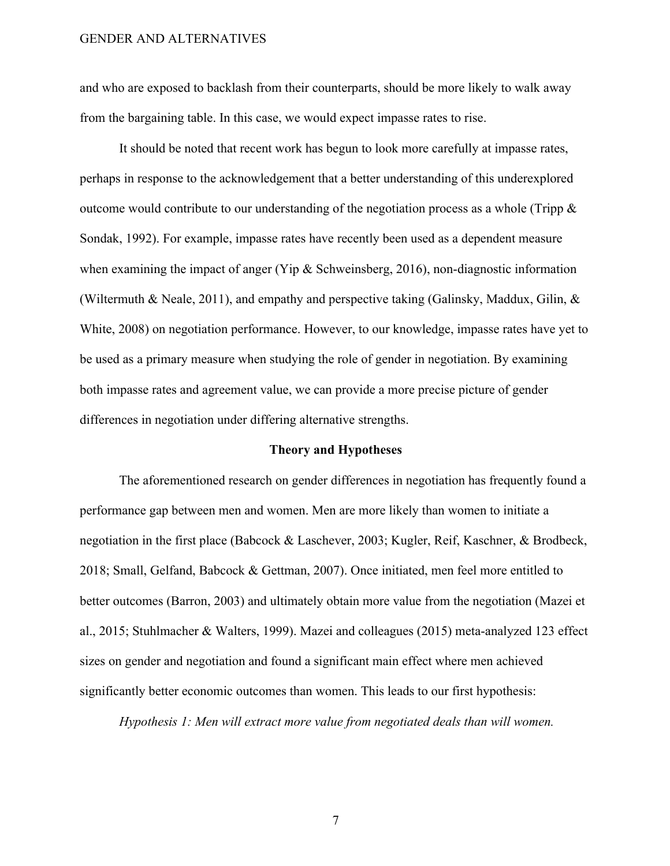and who are exposed to backlash from their counterparts, should be more likely to walk away from the bargaining table. In this case, we would expect impasse rates to rise.

It should be noted that recent work has begun to look more carefully at impasse rates, perhaps in response to the acknowledgement that a better understanding of this underexplored outcome would contribute to our understanding of the negotiation process as a whole (Tripp  $\&$ Sondak, 1992). For example, impasse rates have recently been used as a dependent measure when examining the impact of anger (Yip & Schweinsberg, 2016), non-diagnostic information (Wiltermuth & Neale, 2011), and empathy and perspective taking (Galinsky, Maddux, Gilin, & White, 2008) on negotiation performance. However, to our knowledge, impasse rates have yet to be used as a primary measure when studying the role of gender in negotiation. By examining both impasse rates and agreement value, we can provide a more precise picture of gender differences in negotiation under differing alternative strengths.

#### **Theory and Hypotheses**

The aforementioned research on gender differences in negotiation has frequently found a performance gap between men and women. Men are more likely than women to initiate a negotiation in the first place (Babcock & Laschever, 2003; Kugler, Reif, Kaschner, & Brodbeck, 2018; Small, Gelfand, Babcock & Gettman, 2007). Once initiated, men feel more entitled to better outcomes (Barron, 2003) and ultimately obtain more value from the negotiation (Mazei et al., 2015; Stuhlmacher & Walters, 1999). Mazei and colleagues (2015) meta-analyzed 123 effect sizes on gender and negotiation and found a significant main effect where men achieved significantly better economic outcomes than women. This leads to our first hypothesis:

*Hypothesis 1: Men will extract more value from negotiated deals than will women.*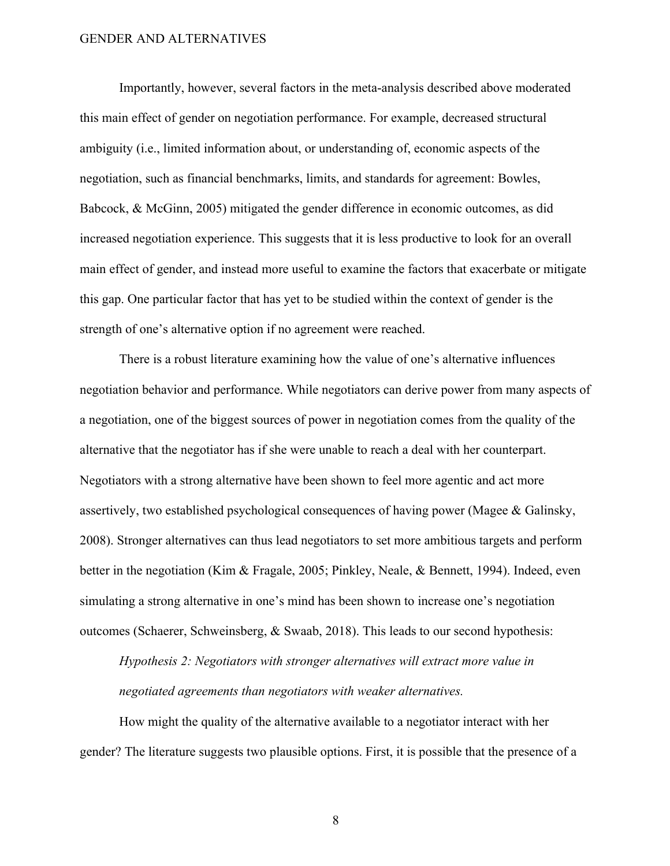Importantly, however, several factors in the meta-analysis described above moderated this main effect of gender on negotiation performance. For example, decreased structural ambiguity (i.e., limited information about, or understanding of, economic aspects of the negotiation, such as financial benchmarks, limits, and standards for agreement: Bowles, Babcock, & McGinn, 2005) mitigated the gender difference in economic outcomes, as did increased negotiation experience. This suggests that it is less productive to look for an overall main effect of gender, and instead more useful to examine the factors that exacerbate or mitigate this gap. One particular factor that has yet to be studied within the context of gender is the strength of one's alternative option if no agreement were reached.

There is a robust literature examining how the value of one's alternative influences negotiation behavior and performance. While negotiators can derive power from many aspects of a negotiation, one of the biggest sources of power in negotiation comes from the quality of the alternative that the negotiator has if she were unable to reach a deal with her counterpart. Negotiators with a strong alternative have been shown to feel more agentic and act more assertively, two established psychological consequences of having power (Magee & Galinsky, 2008). Stronger alternatives can thus lead negotiators to set more ambitious targets and perform better in the negotiation (Kim & Fragale, 2005; Pinkley, Neale, & Bennett, 1994). Indeed, even simulating a strong alternative in one's mind has been shown to increase one's negotiation outcomes (Schaerer, Schweinsberg, & Swaab, 2018). This leads to our second hypothesis:

*Hypothesis 2: Negotiators with stronger alternatives will extract more value in negotiated agreements than negotiators with weaker alternatives.*

How might the quality of the alternative available to a negotiator interact with her gender? The literature suggests two plausible options. First, it is possible that the presence of a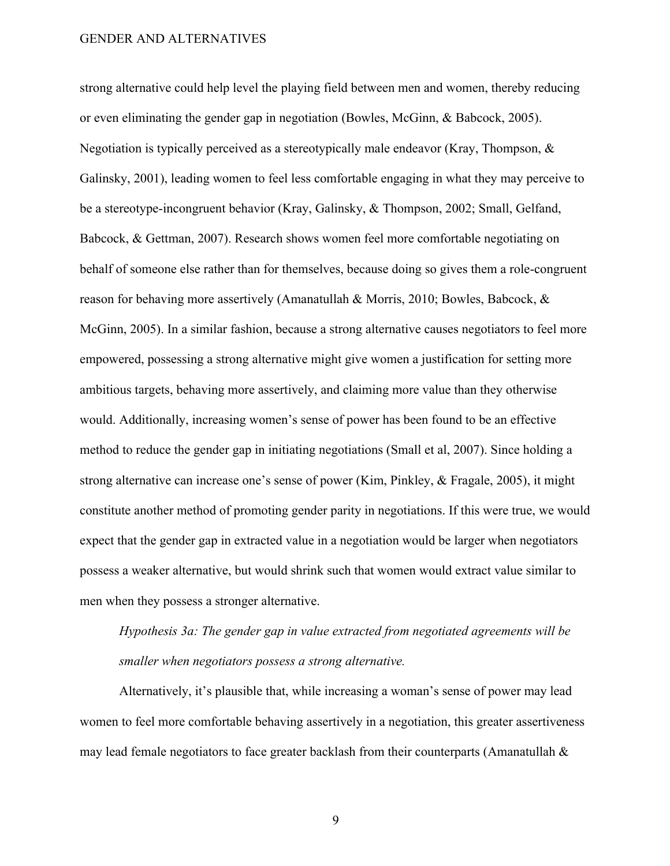strong alternative could help level the playing field between men and women, thereby reducing or even eliminating the gender gap in negotiation (Bowles, McGinn, & Babcock, 2005). Negotiation is typically perceived as a stereotypically male endeavor (Kray, Thompson, & Galinsky, 2001), leading women to feel less comfortable engaging in what they may perceive to be a stereotype-incongruent behavior (Kray, Galinsky, & Thompson, 2002; Small, Gelfand, Babcock, & Gettman, 2007). Research shows women feel more comfortable negotiating on behalf of someone else rather than for themselves, because doing so gives them a role-congruent reason for behaving more assertively (Amanatullah & Morris, 2010; Bowles, Babcock, & McGinn, 2005). In a similar fashion, because a strong alternative causes negotiators to feel more empowered, possessing a strong alternative might give women a justification for setting more ambitious targets, behaving more assertively, and claiming more value than they otherwise would. Additionally, increasing women's sense of power has been found to be an effective method to reduce the gender gap in initiating negotiations (Small et al, 2007). Since holding a strong alternative can increase one's sense of power (Kim, Pinkley, & Fragale, 2005), it might constitute another method of promoting gender parity in negotiations. If this were true, we would expect that the gender gap in extracted value in a negotiation would be larger when negotiators possess a weaker alternative, but would shrink such that women would extract value similar to men when they possess a stronger alternative.

# *Hypothesis 3a: The gender gap in value extracted from negotiated agreements will be smaller when negotiators possess a strong alternative.*

Alternatively, it's plausible that, while increasing a woman's sense of power may lead women to feel more comfortable behaving assertively in a negotiation, this greater assertiveness may lead female negotiators to face greater backlash from their counterparts (Amanatullah &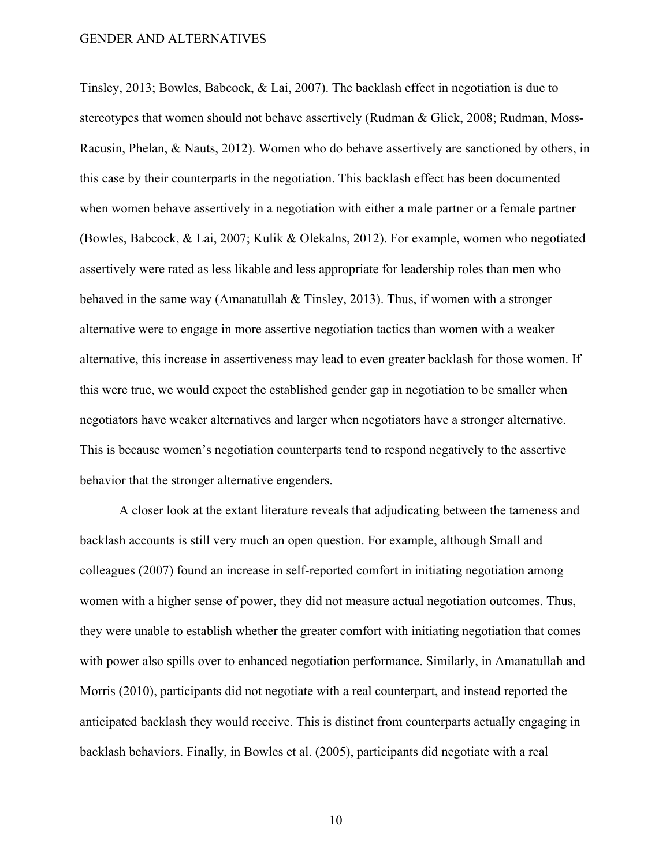Tinsley, 2013; Bowles, Babcock, & Lai, 2007). The backlash effect in negotiation is due to stereotypes that women should not behave assertively (Rudman & Glick, 2008; Rudman, Moss-Racusin, Phelan, & Nauts, 2012). Women who do behave assertively are sanctioned by others, in this case by their counterparts in the negotiation. This backlash effect has been documented when women behave assertively in a negotiation with either a male partner or a female partner (Bowles, Babcock, & Lai, 2007; Kulik & Olekalns, 2012). For example, women who negotiated assertively were rated as less likable and less appropriate for leadership roles than men who behaved in the same way (Amanatullah & Tinsley, 2013). Thus, if women with a stronger alternative were to engage in more assertive negotiation tactics than women with a weaker alternative, this increase in assertiveness may lead to even greater backlash for those women. If this were true, we would expect the established gender gap in negotiation to be smaller when negotiators have weaker alternatives and larger when negotiators have a stronger alternative. This is because women's negotiation counterparts tend to respond negatively to the assertive behavior that the stronger alternative engenders.

A closer look at the extant literature reveals that adjudicating between the tameness and backlash accounts is still very much an open question. For example, although Small and colleagues (2007) found an increase in self-reported comfort in initiating negotiation among women with a higher sense of power, they did not measure actual negotiation outcomes. Thus, they were unable to establish whether the greater comfort with initiating negotiation that comes with power also spills over to enhanced negotiation performance. Similarly, in Amanatullah and Morris (2010), participants did not negotiate with a real counterpart, and instead reported the anticipated backlash they would receive. This is distinct from counterparts actually engaging in backlash behaviors. Finally, in Bowles et al. (2005), participants did negotiate with a real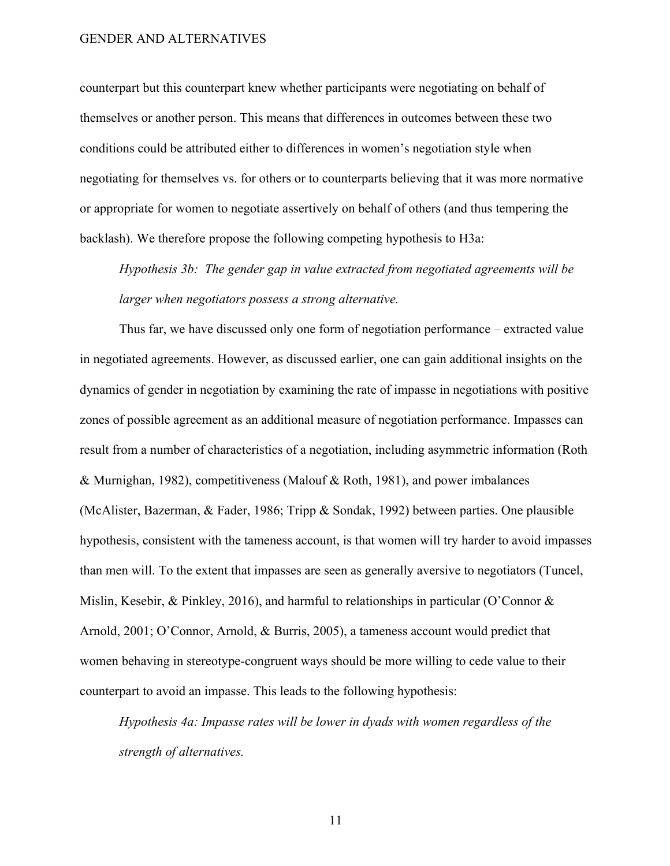counterpart but this counterpart knew whether participants were negotiating on behalf of themselves or another person. This means that differences in outcomes between these two conditions could be attributed either to differences in women's negotiation style when negotiating for themselves vs. for others or to counterparts believing that it was more normative or appropriate for women to negotiate assertively on behalf of others (and thus tempering the backlash). We therefore propose the following competing hypothesis to H3a:

*Hypothesis 3b: The gender gap in value extracted from negotiated agreements will be larger when negotiators possess a strong alternative.*

Thus far, we have discussed only one form of negotiation performance – extracted value in negotiated agreements. However, as discussed earlier, one can gain additional insights on the dynamics of gender in negotiation by examining the rate of impasse in negotiations with positive zones of possible agreement as an additional measure of negotiation performance. Impasses can result from a number of characteristics of a negotiation, including asymmetric information (Roth & Murnighan, 1982), competitiveness (Malouf & Roth, 1981), and power imbalances (McAlister, Bazerman, & Fader, 1986; Tripp & Sondak, 1992) between parties. One plausible hypothesis, consistent with the tameness account, is that women will try harder to avoid impasses than men will. To the extent that impasses are seen as generally aversive to negotiators (Tuncel, Mislin, Kesebir, & Pinkley, 2016), and harmful to relationships in particular (O'Connor & Arnold, 2001; O'Connor, Arnold, & Burris, 2005), a tameness account would predict that women behaving in stereotype-congruent ways should be more willing to cede value to their counterpart to avoid an impasse. This leads to the following hypothesis:

*Hypothesis 4a: Impasse rates will be lower in dyads with women regardless of the strength of alternatives.*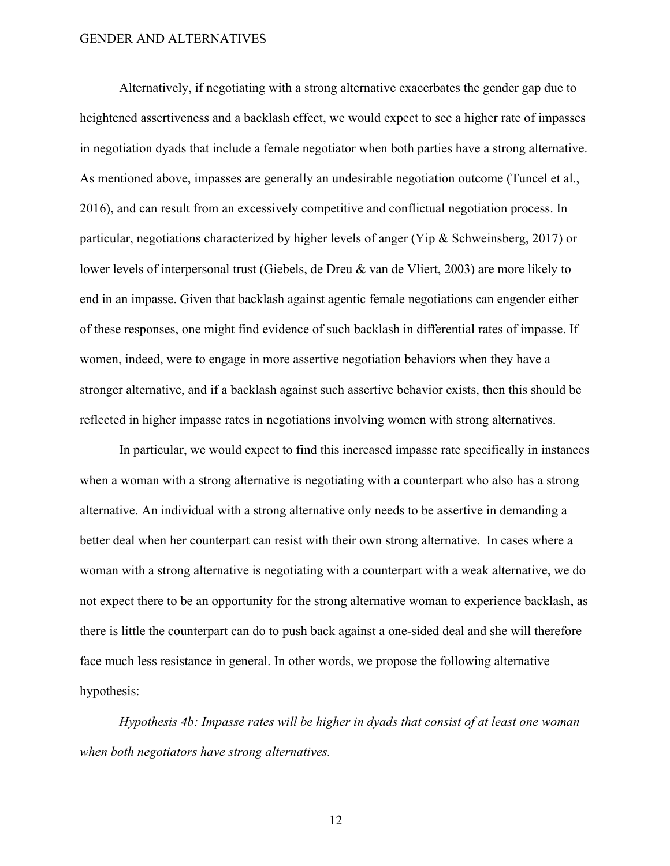Alternatively, if negotiating with a strong alternative exacerbates the gender gap due to heightened assertiveness and a backlash effect, we would expect to see a higher rate of impasses in negotiation dyads that include a female negotiator when both parties have a strong alternative. As mentioned above, impasses are generally an undesirable negotiation outcome (Tuncel et al., 2016), and can result from an excessively competitive and conflictual negotiation process. In particular, negotiations characterized by higher levels of anger (Yip & Schweinsberg, 2017) or lower levels of interpersonal trust (Giebels, de Dreu & van de Vliert, 2003) are more likely to end in an impasse. Given that backlash against agentic female negotiations can engender either of these responses, one might find evidence of such backlash in differential rates of impasse. If women, indeed, were to engage in more assertive negotiation behaviors when they have a stronger alternative, and if a backlash against such assertive behavior exists, then this should be reflected in higher impasse rates in negotiations involving women with strong alternatives.

In particular, we would expect to find this increased impasse rate specifically in instances when a woman with a strong alternative is negotiating with a counterpart who also has a strong alternative. An individual with a strong alternative only needs to be assertive in demanding a better deal when her counterpart can resist with their own strong alternative. In cases where a woman with a strong alternative is negotiating with a counterpart with a weak alternative, we do not expect there to be an opportunity for the strong alternative woman to experience backlash, as there is little the counterpart can do to push back against a one-sided deal and she will therefore face much less resistance in general. In other words, we propose the following alternative hypothesis:

*Hypothesis 4b: Impasse rates will be higher in dyads that consist of at least one woman when both negotiators have strong alternatives.*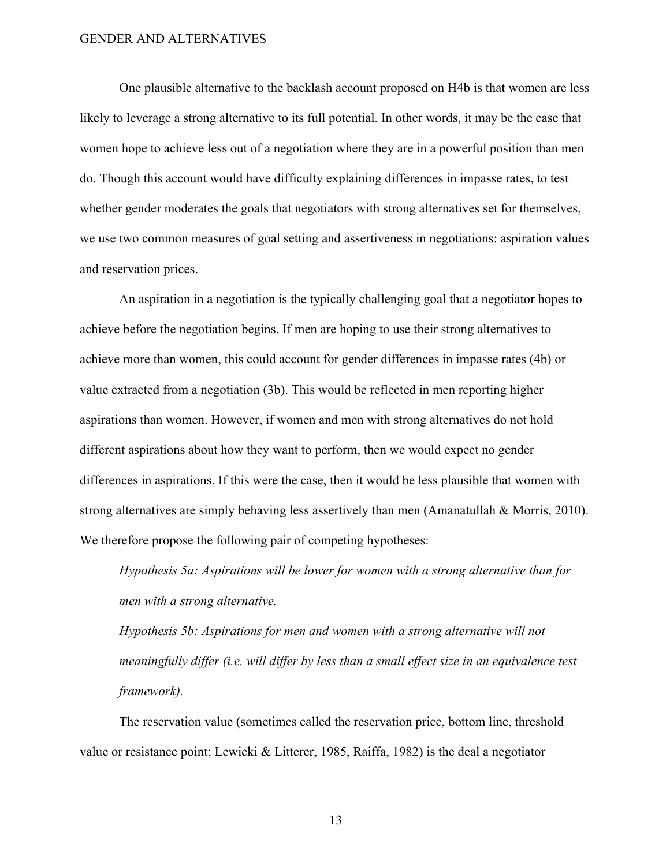One plausible alternative to the backlash account proposed on H4b is that women are less likely to leverage a strong alternative to its full potential. In other words, it may be the case that women hope to achieve less out of a negotiation where they are in a powerful position than men do. Though this account would have difficulty explaining differences in impasse rates, to test whether gender moderates the goals that negotiators with strong alternatives set for themselves, we use two common measures of goal setting and assertiveness in negotiations: aspiration values and reservation prices.

An aspiration in a negotiation is the typically challenging goal that a negotiator hopes to achieve before the negotiation begins. If men are hoping to use their strong alternatives to achieve more than women, this could account for gender differences in impasse rates (4b) or value extracted from a negotiation (3b). This would be reflected in men reporting higher aspirations than women. However, if women and men with strong alternatives do not hold different aspirations about how they want to perform, then we would expect no gender differences in aspirations. If this were the case, then it would be less plausible that women with strong alternatives are simply behaving less assertively than men (Amanatullah & Morris, 2010). We therefore propose the following pair of competing hypotheses:

*Hypothesis 5a: Aspirations will be lower for women with a strong alternative than for men with a strong alternative.*

*Hypothesis 5b: Aspirations for men and women with a strong alternative will not meaningfully differ (i.e. will differ by less than a small effect size in an equivalence test framework).* 

The reservation value (sometimes called the reservation price, bottom line, threshold value or resistance point; Lewicki & Litterer, 1985, Raiffa, 1982) is the deal a negotiator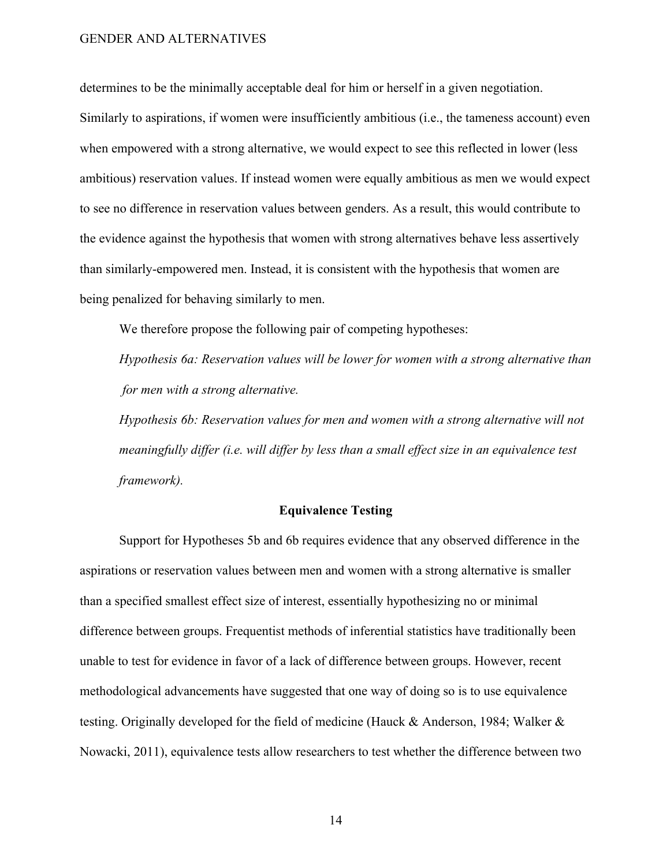determines to be the minimally acceptable deal for him or herself in a given negotiation.

Similarly to aspirations, if women were insufficiently ambitious (i.e., the tameness account) even when empowered with a strong alternative, we would expect to see this reflected in lower (less ambitious) reservation values. If instead women were equally ambitious as men we would expect to see no difference in reservation values between genders. As a result, this would contribute to the evidence against the hypothesis that women with strong alternatives behave less assertively than similarly-empowered men. Instead, it is consistent with the hypothesis that women are being penalized for behaving similarly to men.

We therefore propose the following pair of competing hypotheses:

*Hypothesis 6a: Reservation values will be lower for women with a strong alternative than for men with a strong alternative.*

*Hypothesis 6b: Reservation values for men and women with a strong alternative will not meaningfully differ (i.e. will differ by less than a small effect size in an equivalence test framework).* 

#### **Equivalence Testing**

Support for Hypotheses 5b and 6b requires evidence that any observed difference in the aspirations or reservation values between men and women with a strong alternative is smaller than a specified smallest effect size of interest, essentially hypothesizing no or minimal difference between groups. Frequentist methods of inferential statistics have traditionally been unable to test for evidence in favor of a lack of difference between groups. However, recent methodological advancements have suggested that one way of doing so is to use equivalence testing. Originally developed for the field of medicine (Hauck & Anderson, 1984; Walker & Nowacki, 2011), equivalence tests allow researchers to test whether the difference between two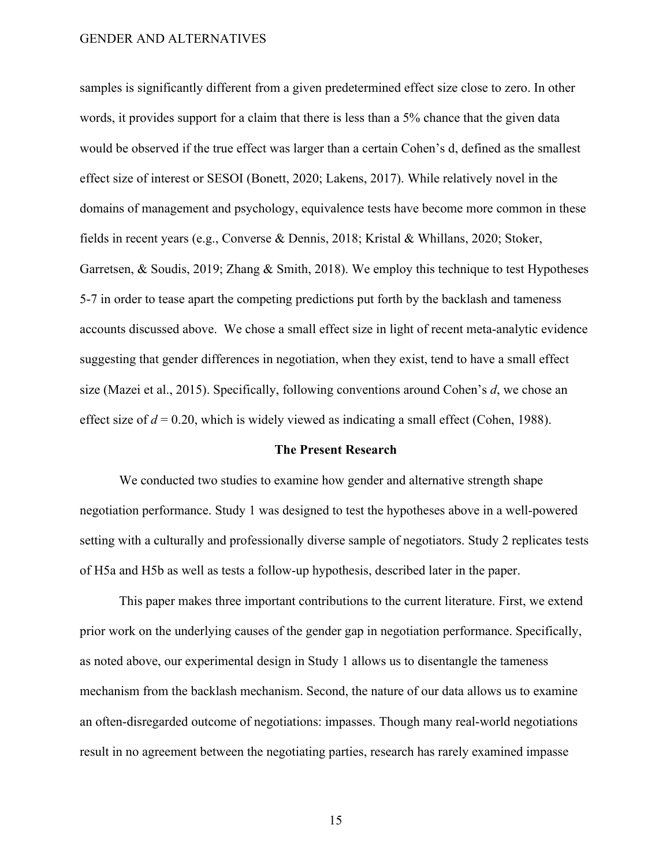samples is significantly different from a given predetermined effect size close to zero. In other words, it provides support for a claim that there is less than a 5% chance that the given data would be observed if the true effect was larger than a certain Cohen's d, defined as the smallest effect size of interest or SESOI (Bonett, 2020; Lakens, 2017). While relatively novel in the domains of management and psychology, equivalence tests have become more common in these fields in recent years (e.g., Converse & Dennis, 2018; Kristal & Whillans, 2020; Stoker, Garretsen, & Soudis, 2019; Zhang & Smith, 2018). We employ this technique to test Hypotheses 5-7 in order to tease apart the competing predictions put forth by the backlash and tameness accounts discussed above. We chose a small effect size in light of recent meta-analytic evidence suggesting that gender differences in negotiation, when they exist, tend to have a small effect size (Mazei et al., 2015). Specifically, following conventions around Cohen's *d*, we chose an effect size of  $d = 0.20$ , which is widely viewed as indicating a small effect (Cohen, 1988).

#### **The Present Research**

We conducted two studies to examine how gender and alternative strength shape negotiation performance. Study 1 was designed to test the hypotheses above in a well-powered setting with a culturally and professionally diverse sample of negotiators. Study 2 replicates tests of H5a and H5b as well as tests a follow-up hypothesis, described later in the paper.

This paper makes three important contributions to the current literature. First, we extend prior work on the underlying causes of the gender gap in negotiation performance. Specifically, as noted above, our experimental design in Study 1 allows us to disentangle the tameness mechanism from the backlash mechanism. Second, the nature of our data allows us to examine an often-disregarded outcome of negotiations: impasses. Though many real-world negotiations result in no agreement between the negotiating parties, research has rarely examined impasse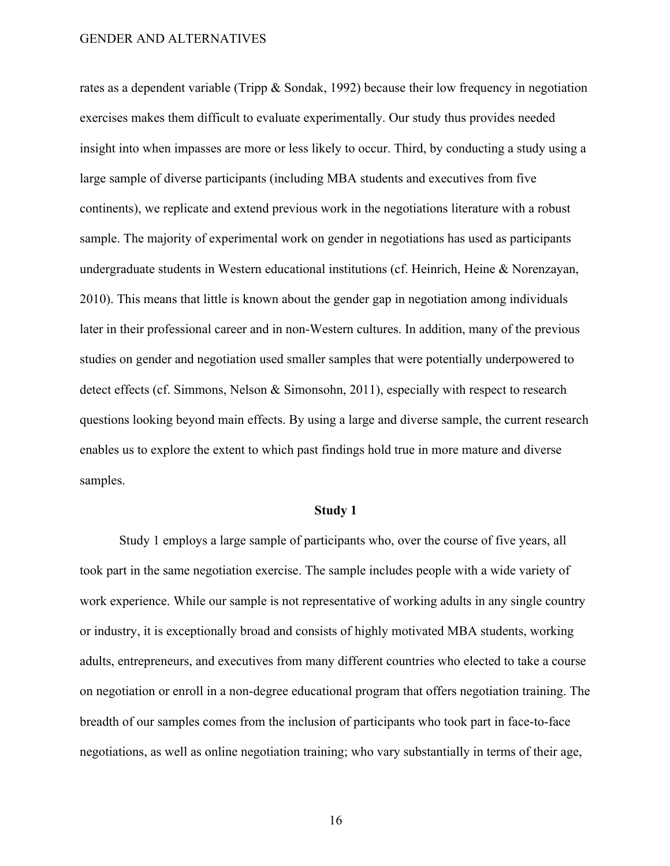rates as a dependent variable (Tripp & Sondak, 1992) because their low frequency in negotiation exercises makes them difficult to evaluate experimentally. Our study thus provides needed insight into when impasses are more or less likely to occur. Third, by conducting a study using a large sample of diverse participants (including MBA students and executives from five continents), we replicate and extend previous work in the negotiations literature with a robust sample. The majority of experimental work on gender in negotiations has used as participants undergraduate students in Western educational institutions (cf. Heinrich, Heine & Norenzayan, 2010). This means that little is known about the gender gap in negotiation among individuals later in their professional career and in non-Western cultures. In addition, many of the previous studies on gender and negotiation used smaller samples that were potentially underpowered to detect effects (cf. Simmons, Nelson & Simonsohn, 2011), especially with respect to research questions looking beyond main effects. By using a large and diverse sample, the current research enables us to explore the extent to which past findings hold true in more mature and diverse samples.

#### **Study 1**

Study 1 employs a large sample of participants who, over the course of five years, all took part in the same negotiation exercise. The sample includes people with a wide variety of work experience. While our sample is not representative of working adults in any single country or industry, it is exceptionally broad and consists of highly motivated MBA students, working adults, entrepreneurs, and executives from many different countries who elected to take a course on negotiation or enroll in a non-degree educational program that offers negotiation training. The breadth of our samples comes from the inclusion of participants who took part in face-to-face negotiations, as well as online negotiation training; who vary substantially in terms of their age,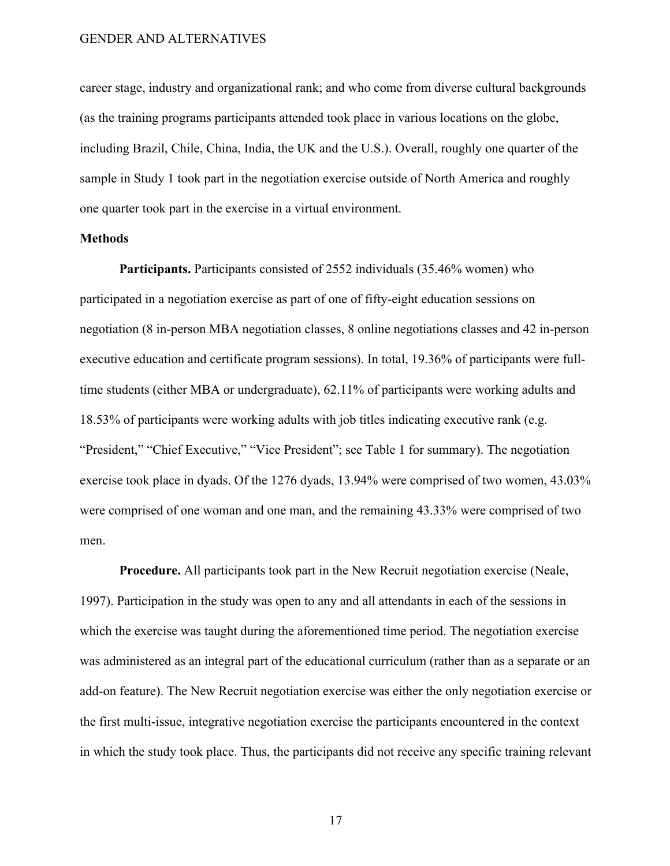career stage, industry and organizational rank; and who come from diverse cultural backgrounds (as the training programs participants attended took place in various locations on the globe, including Brazil, Chile, China, India, the UK and the U.S.). Overall, roughly one quarter of the sample in Study 1 took part in the negotiation exercise outside of North America and roughly one quarter took part in the exercise in a virtual environment.

#### **Methods**

**Participants.** Participants consisted of 2552 individuals (35.46% women) who participated in a negotiation exercise as part of one of fifty-eight education sessions on negotiation (8 in-person MBA negotiation classes, 8 online negotiations classes and 42 in-person executive education and certificate program sessions). In total, 19.36% of participants were fulltime students (either MBA or undergraduate), 62.11% of participants were working adults and 18.53% of participants were working adults with job titles indicating executive rank (e.g. "President," "Chief Executive," "Vice President"; see Table 1 for summary). The negotiation exercise took place in dyads. Of the 1276 dyads, 13.94% were comprised of two women, 43.03% were comprised of one woman and one man, and the remaining 43.33% were comprised of two men.

**Procedure.** All participants took part in the New Recruit negotiation exercise (Neale, 1997). Participation in the study was open to any and all attendants in each of the sessions in which the exercise was taught during the aforementioned time period. The negotiation exercise was administered as an integral part of the educational curriculum (rather than as a separate or an add-on feature). The New Recruit negotiation exercise was either the only negotiation exercise or the first multi-issue, integrative negotiation exercise the participants encountered in the context in which the study took place. Thus, the participants did not receive any specific training relevant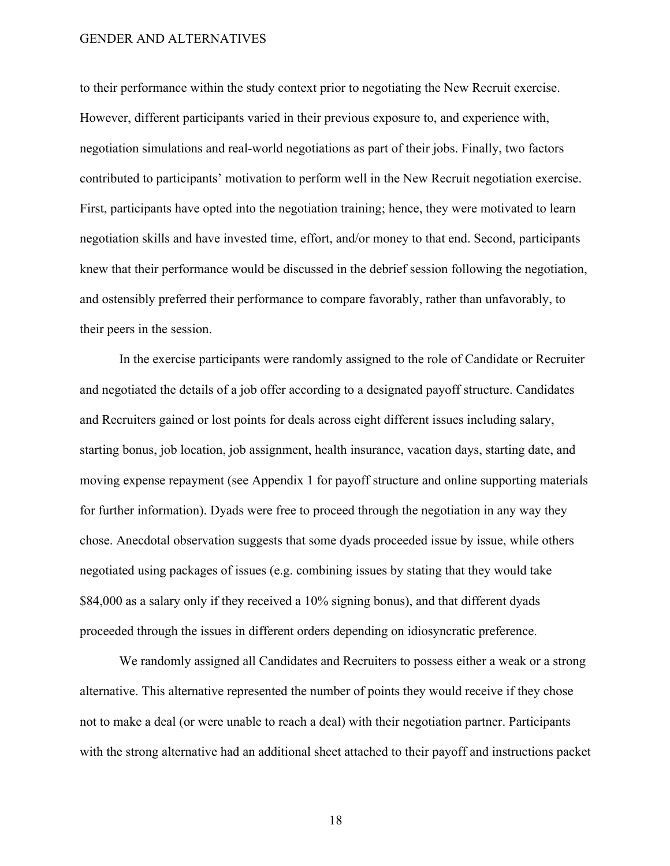to their performance within the study context prior to negotiating the New Recruit exercise. However, different participants varied in their previous exposure to, and experience with, negotiation simulations and real-world negotiations as part of their jobs. Finally, two factors contributed to participants' motivation to perform well in the New Recruit negotiation exercise. First, participants have opted into the negotiation training; hence, they were motivated to learn negotiation skills and have invested time, effort, and/or money to that end. Second, participants knew that their performance would be discussed in the debrief session following the negotiation, and ostensibly preferred their performance to compare favorably, rather than unfavorably, to their peers in the session.

In the exercise participants were randomly assigned to the role of Candidate or Recruiter and negotiated the details of a job offer according to a designated payoff structure. Candidates and Recruiters gained or lost points for deals across eight different issues including salary, starting bonus, job location, job assignment, health insurance, vacation days, starting date, and moving expense repayment (see Appendix 1 for payoff structure and online supporting materials for further information). Dyads were free to proceed through the negotiation in any way they chose. Anecdotal observation suggests that some dyads proceeded issue by issue, while others negotiated using packages of issues (e.g. combining issues by stating that they would take \$84,000 as a salary only if they received a 10% signing bonus), and that different dyads proceeded through the issues in different orders depending on idiosyncratic preference.

We randomly assigned all Candidates and Recruiters to possess either a weak or a strong alternative. This alternative represented the number of points they would receive if they chose not to make a deal (or were unable to reach a deal) with their negotiation partner. Participants with the strong alternative had an additional sheet attached to their payoff and instructions packet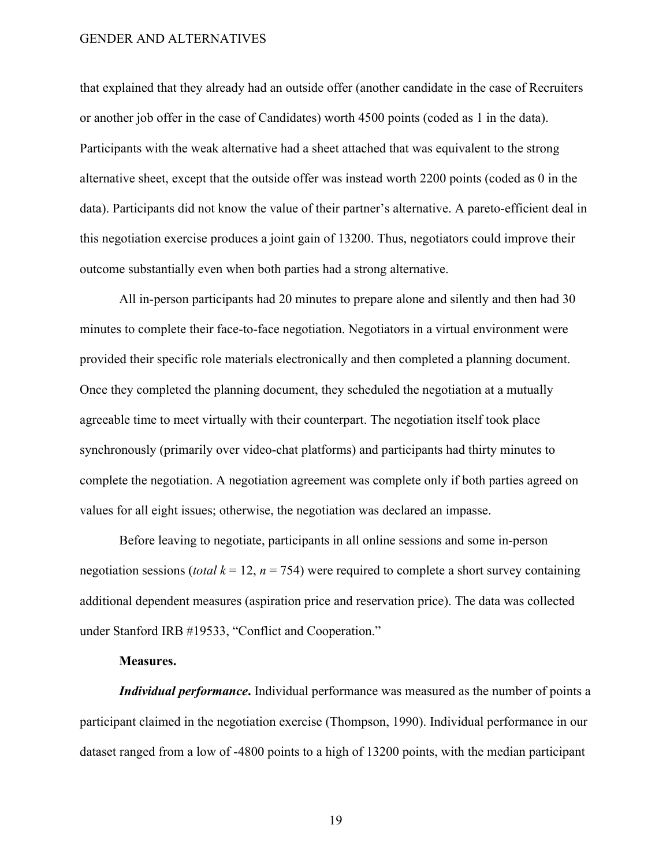that explained that they already had an outside offer (another candidate in the case of Recruiters or another job offer in the case of Candidates) worth 4500 points (coded as 1 in the data). Participants with the weak alternative had a sheet attached that was equivalent to the strong alternative sheet, except that the outside offer was instead worth 2200 points (coded as 0 in the data). Participants did not know the value of their partner's alternative. A pareto-efficient deal in this negotiation exercise produces a joint gain of 13200. Thus, negotiators could improve their outcome substantially even when both parties had a strong alternative.

All in-person participants had 20 minutes to prepare alone and silently and then had 30 minutes to complete their face-to-face negotiation. Negotiators in a virtual environment were provided their specific role materials electronically and then completed a planning document. Once they completed the planning document, they scheduled the negotiation at a mutually agreeable time to meet virtually with their counterpart. The negotiation itself took place synchronously (primarily over video-chat platforms) and participants had thirty minutes to complete the negotiation. A negotiation agreement was complete only if both parties agreed on values for all eight issues; otherwise, the negotiation was declared an impasse.

Before leaving to negotiate, participants in all online sessions and some in-person negotiation sessions (*total*  $k = 12$ ,  $n = 754$ ) were required to complete a short survey containing additional dependent measures (aspiration price and reservation price). The data was collected under Stanford IRB #19533, "Conflict and Cooperation."

#### **Measures.**

*Individual performance***.** Individual performance was measured as the number of points a participant claimed in the negotiation exercise (Thompson, 1990). Individual performance in our dataset ranged from a low of -4800 points to a high of 13200 points, with the median participant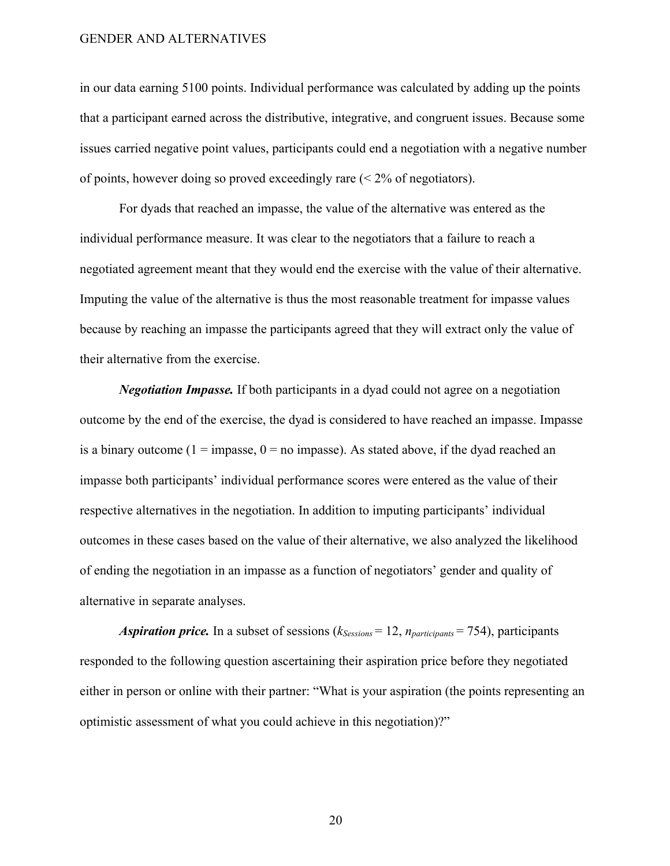in our data earning 5100 points. Individual performance was calculated by adding up the points that a participant earned across the distributive, integrative, and congruent issues. Because some issues carried negative point values, participants could end a negotiation with a negative number of points, however doing so proved exceedingly rare  $\approx$  2% of negotiators).

For dyads that reached an impasse, the value of the alternative was entered as the individual performance measure. It was clear to the negotiators that a failure to reach a negotiated agreement meant that they would end the exercise with the value of their alternative. Imputing the value of the alternative is thus the most reasonable treatment for impasse values because by reaching an impasse the participants agreed that they will extract only the value of their alternative from the exercise.

*Negotiation Impasse.* If both participants in a dyad could not agree on a negotiation outcome by the end of the exercise, the dyad is considered to have reached an impasse. Impasse is a binary outcome ( $1 = \text{impasse}$ ,  $0 = \text{no impasse}$ ). As stated above, if the dyad reached an impasse both participants' individual performance scores were entered as the value of their respective alternatives in the negotiation. In addition to imputing participants' individual outcomes in these cases based on the value of their alternative, we also analyzed the likelihood of ending the negotiation in an impasse as a function of negotiators' gender and quality of alternative in separate analyses.

*Aspiration price.* In a subset of sessions (*kSessions* = 12, *nparticipants* = 754), participants responded to the following question ascertaining their aspiration price before they negotiated either in person or online with their partner: "What is your aspiration (the points representing an optimistic assessment of what you could achieve in this negotiation)?"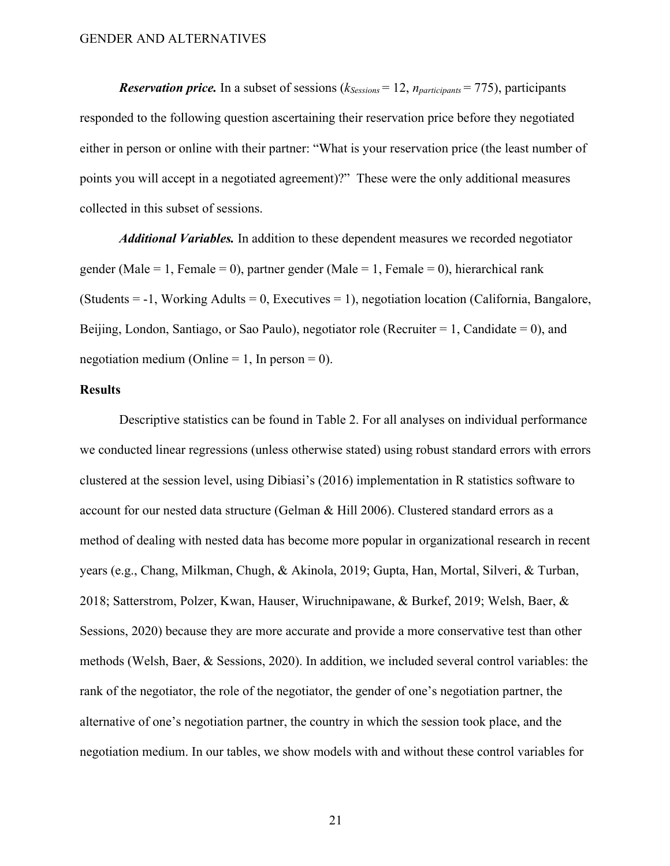*Reservation price.* In a subset of sessions ( $k_{Sessions} = 12$ ,  $n_{participants} = 775$ ), participants responded to the following question ascertaining their reservation price before they negotiated either in person or online with their partner: "What is your reservation price (the least number of points you will accept in a negotiated agreement)?" These were the only additional measures collected in this subset of sessions.

*Additional Variables.* In addition to these dependent measures we recorded negotiator gender (Male = 1, Female = 0), partner gender (Male = 1, Female = 0), hierarchical rank  $(Students = -1, Working adults = 0, Executive = 1), negotiation location (California, Bangalore, 1)$ Beijing, London, Santiago, or Sao Paulo), negotiator role (Recruiter = 1, Candidate = 0), and negotiation medium (Online = 1, In person = 0).

#### **Results**

Descriptive statistics can be found in Table 2. For all analyses on individual performance we conducted linear regressions (unless otherwise stated) using robust standard errors with errors clustered at the session level, using Dibiasi's (2016) implementation in R statistics software to account for our nested data structure (Gelman & Hill 2006). Clustered standard errors as a method of dealing with nested data has become more popular in organizational research in recent years (e.g., Chang, Milkman, Chugh, & Akinola, 2019; Gupta, Han, Mortal, Silveri, & Turban, 2018; Satterstrom, Polzer, Kwan, Hauser, Wiruchnipawane, & Burkef, 2019; Welsh, Baer, & Sessions, 2020) because they are more accurate and provide a more conservative test than other methods (Welsh, Baer, & Sessions, 2020). In addition, we included several control variables: the rank of the negotiator, the role of the negotiator, the gender of one's negotiation partner, the alternative of one's negotiation partner, the country in which the session took place, and the negotiation medium. In our tables, we show models with and without these control variables for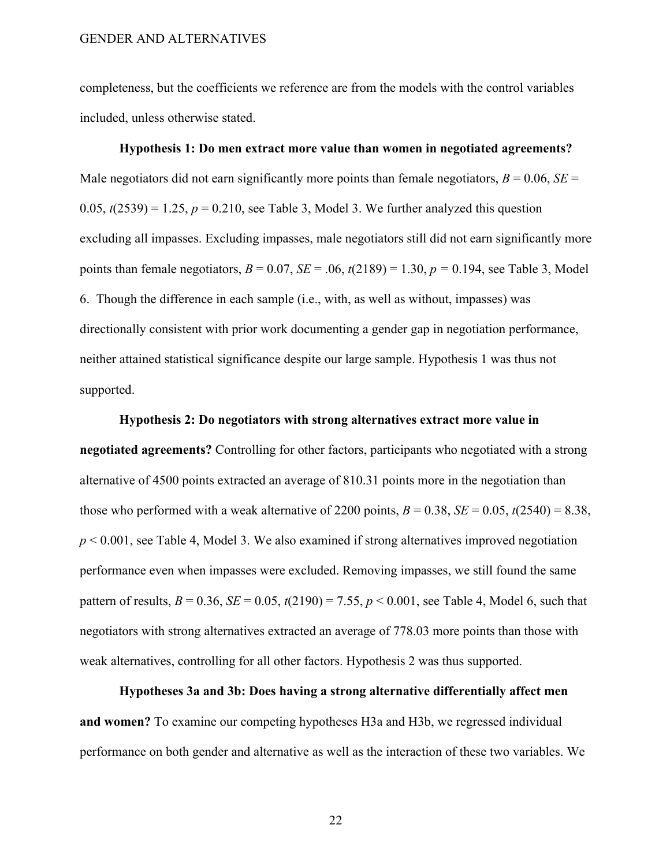completeness, but the coefficients we reference are from the models with the control variables included, unless otherwise stated.

# **Hypothesis 1: Do men extract more value than women in negotiated agreements?**  Male negotiators did not earn significantly more points than female negotiators,  $B = 0.06$ ,  $SE =$  $0.05$ ,  $t(2539) = 1.25$ ,  $p = 0.210$ , see Table 3, Model 3. We further analyzed this question excluding all impasses. Excluding impasses, male negotiators still did not earn significantly more points than female negotiators, *B* = 0.07, *SE* = .06, *t*(2189) = 1.30, *p =* 0.194, see Table 3, Model 6. Though the difference in each sample (i.e., with, as well as without, impasses) was directionally consistent with prior work documenting a gender gap in negotiation performance, neither attained statistical significance despite our large sample. Hypothesis 1 was thus not supported.

#### **Hypothesis 2: Do negotiators with strong alternatives extract more value in**

**negotiated agreements?** Controlling for other factors, participants who negotiated with a strong alternative of 4500 points extracted an average of 810.31 points more in the negotiation than those who performed with a weak alternative of 2200 points,  $B = 0.38$ ,  $SE = 0.05$ ,  $t(2540) = 8.38$ , *p* < 0.001, see Table 4, Model 3. We also examined if strong alternatives improved negotiation performance even when impasses were excluded. Removing impasses, we still found the same pattern of results,  $B = 0.36$ ,  $SE = 0.05$ ,  $t(2190) = 7.55$ ,  $p < 0.001$ , see Table 4, Model 6, such that negotiators with strong alternatives extracted an average of 778.03 more points than those with weak alternatives, controlling for all other factors. Hypothesis 2 was thus supported.

**Hypotheses 3a and 3b: Does having a strong alternative differentially affect men and women?** To examine our competing hypotheses H3a and H3b, we regressed individual performance on both gender and alternative as well as the interaction of these two variables. We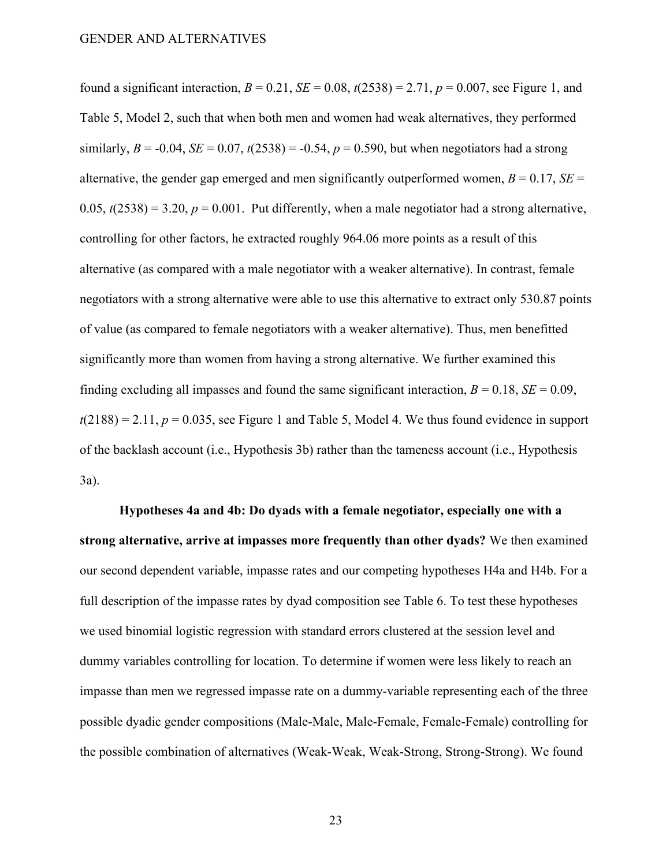found a significant interaction,  $B = 0.21$ ,  $SE = 0.08$ ,  $t(2538) = 2.71$ ,  $p = 0.007$ , see Figure 1, and Table 5, Model 2, such that when both men and women had weak alternatives, they performed similarly,  $B = -0.04$ ,  $SE = 0.07$ ,  $t(2538) = -0.54$ ,  $p = 0.590$ , but when negotiators had a strong alternative, the gender gap emerged and men significantly outperformed women,  $B = 0.17$ ,  $SE =$  $(0.05, t(2538)) = 3.20, p = 0.001$ . Put differently, when a male negotiator had a strong alternative, controlling for other factors, he extracted roughly 964.06 more points as a result of this alternative (as compared with a male negotiator with a weaker alternative). In contrast, female negotiators with a strong alternative were able to use this alternative to extract only 530.87 points of value (as compared to female negotiators with a weaker alternative). Thus, men benefitted significantly more than women from having a strong alternative. We further examined this finding excluding all impasses and found the same significant interaction,  $B = 0.18$ ,  $SE = 0.09$ ,  $t(2188) = 2.11$ ,  $p = 0.035$ , see Figure 1 and Table 5, Model 4. We thus found evidence in support of the backlash account (i.e., Hypothesis 3b) rather than the tameness account (i.e., Hypothesis 3a).

**Hypotheses 4a and 4b: Do dyads with a female negotiator, especially one with a strong alternative, arrive at impasses more frequently than other dyads?** We then examined our second dependent variable, impasse rates and our competing hypotheses H4a and H4b. For a full description of the impasse rates by dyad composition see Table 6. To test these hypotheses we used binomial logistic regression with standard errors clustered at the session level and dummy variables controlling for location. To determine if women were less likely to reach an impasse than men we regressed impasse rate on a dummy-variable representing each of the three possible dyadic gender compositions (Male-Male, Male-Female, Female-Female) controlling for the possible combination of alternatives (Weak-Weak, Weak-Strong, Strong-Strong). We found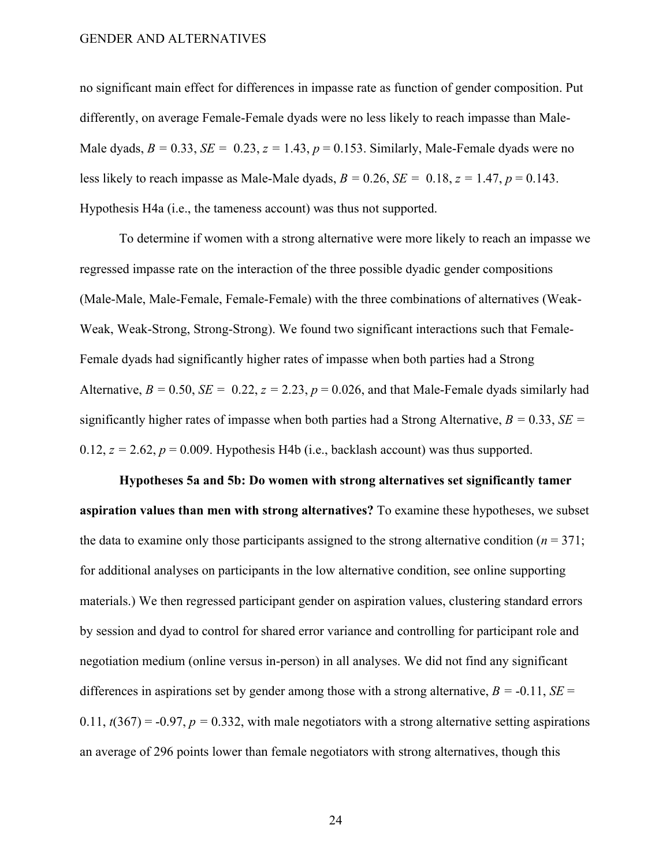no significant main effect for differences in impasse rate as function of gender composition. Put differently, on average Female-Female dyads were no less likely to reach impasse than Male-Male dyads,  $B = 0.33$ ,  $SE = 0.23$ ,  $z = 1.43$ ,  $p = 0.153$ . Similarly, Male-Female dyads were no less likely to reach impasse as Male-Male dyads,  $B = 0.26$ ,  $SE = 0.18$ ,  $z = 1.47$ ,  $p = 0.143$ . Hypothesis H4a (i.e., the tameness account) was thus not supported.

To determine if women with a strong alternative were more likely to reach an impasse we regressed impasse rate on the interaction of the three possible dyadic gender compositions (Male-Male, Male-Female, Female-Female) with the three combinations of alternatives (Weak-Weak, Weak-Strong, Strong-Strong). We found two significant interactions such that Female-Female dyads had significantly higher rates of impasse when both parties had a Strong Alternative,  $B = 0.50$ ,  $SE = 0.22$ ,  $z = 2.23$ ,  $p = 0.026$ , and that Male-Female dyads similarly had significantly higher rates of impasse when both parties had a Strong Alternative, *B =* 0.33, *SE =*   $0.12$ ,  $z = 2.62$ ,  $p = 0.009$ . Hypothesis H4b (i.e., backlash account) was thus supported.

**Hypotheses 5a and 5b: Do women with strong alternatives set significantly tamer aspiration values than men with strong alternatives?** To examine these hypotheses, we subset the data to examine only those participants assigned to the strong alternative condition ( $n = 371$ ; for additional analyses on participants in the low alternative condition, see online supporting materials.) We then regressed participant gender on aspiration values, clustering standard errors by session and dyad to control for shared error variance and controlling for participant role and negotiation medium (online versus in-person) in all analyses. We did not find any significant differences in aspirations set by gender among those with a strong alternative,  $B = -0.11$ ,  $SE =$ 0.11,  $t(367) = -0.97$ ,  $p = 0.332$ , with male negotiators with a strong alternative setting aspirations an average of 296 points lower than female negotiators with strong alternatives, though this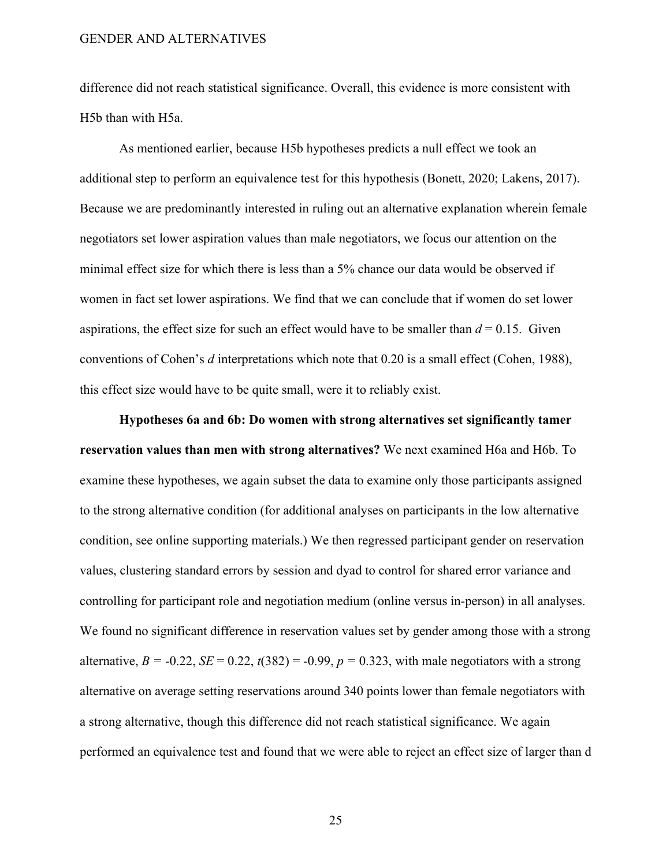difference did not reach statistical significance. Overall, this evidence is more consistent with H5b than with H5a.

As mentioned earlier, because H5b hypotheses predicts a null effect we took an additional step to perform an equivalence test for this hypothesis (Bonett, 2020; Lakens, 2017). Because we are predominantly interested in ruling out an alternative explanation wherein female negotiators set lower aspiration values than male negotiators, we focus our attention on the minimal effect size for which there is less than a 5% chance our data would be observed if women in fact set lower aspirations. We find that we can conclude that if women do set lower aspirations, the effect size for such an effect would have to be smaller than  $d = 0.15$ . Given conventions of Cohen's *d* interpretations which note that 0.20 is a small effect (Cohen, 1988), this effect size would have to be quite small, were it to reliably exist.

**Hypotheses 6a and 6b: Do women with strong alternatives set significantly tamer**  reservation values than men with strong alternatives? We next examined H6a and H6b. To examine these hypotheses, we again subset the data to examine only those participants assigned to the strong alternative condition (for additional analyses on participants in the low alternative condition, see online supporting materials.) We then regressed participant gender on reservation values, clustering standard errors by session and dyad to control for shared error variance and controlling for participant role and negotiation medium (online versus in-person) in all analyses. We found no significant difference in reservation values set by gender among those with a strong alternative,  $B = -0.22$ ,  $SE = 0.22$ ,  $t(382) = -0.99$ ,  $p = 0.323$ , with male negotiators with a strong alternative on average setting reservations around 340 points lower than female negotiators with a strong alternative, though this difference did not reach statistical significance. We again performed an equivalence test and found that we were able to reject an effect size of larger than d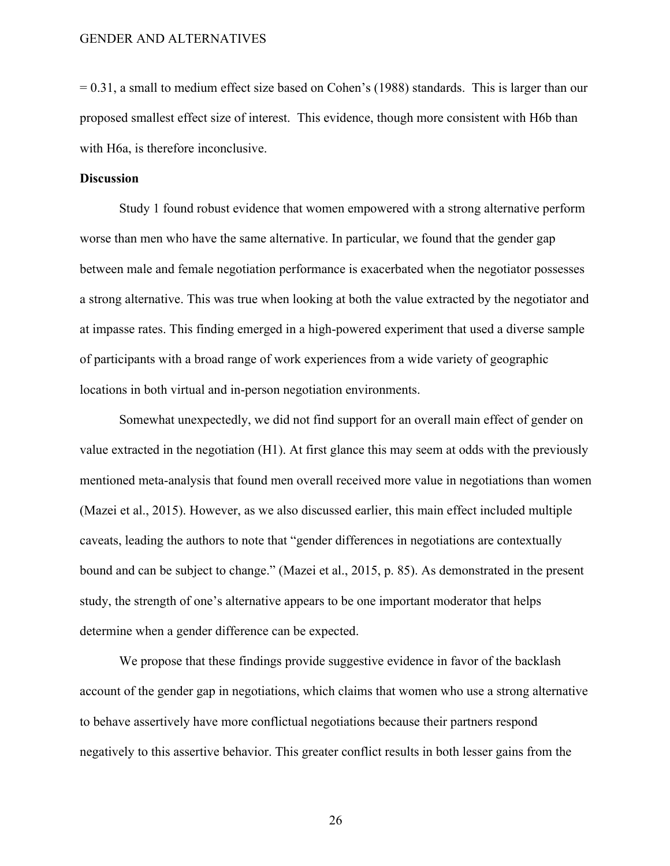$= 0.31$ , a small to medium effect size based on Cohen's (1988) standards. This is larger than our proposed smallest effect size of interest. This evidence, though more consistent with H6b than with H6a, is therefore inconclusive.

#### **Discussion**

Study 1 found robust evidence that women empowered with a strong alternative perform worse than men who have the same alternative. In particular, we found that the gender gap between male and female negotiation performance is exacerbated when the negotiator possesses a strong alternative. This was true when looking at both the value extracted by the negotiator and at impasse rates. This finding emerged in a high-powered experiment that used a diverse sample of participants with a broad range of work experiences from a wide variety of geographic locations in both virtual and in-person negotiation environments.

Somewhat unexpectedly, we did not find support for an overall main effect of gender on value extracted in the negotiation (H1). At first glance this may seem at odds with the previously mentioned meta-analysis that found men overall received more value in negotiations than women (Mazei et al., 2015). However, as we also discussed earlier, this main effect included multiple caveats, leading the authors to note that "gender differences in negotiations are contextually bound and can be subject to change." (Mazei et al., 2015, p. 85). As demonstrated in the present study, the strength of one's alternative appears to be one important moderator that helps determine when a gender difference can be expected.

We propose that these findings provide suggestive evidence in favor of the backlash account of the gender gap in negotiations, which claims that women who use a strong alternative to behave assertively have more conflictual negotiations because their partners respond negatively to this assertive behavior. This greater conflict results in both lesser gains from the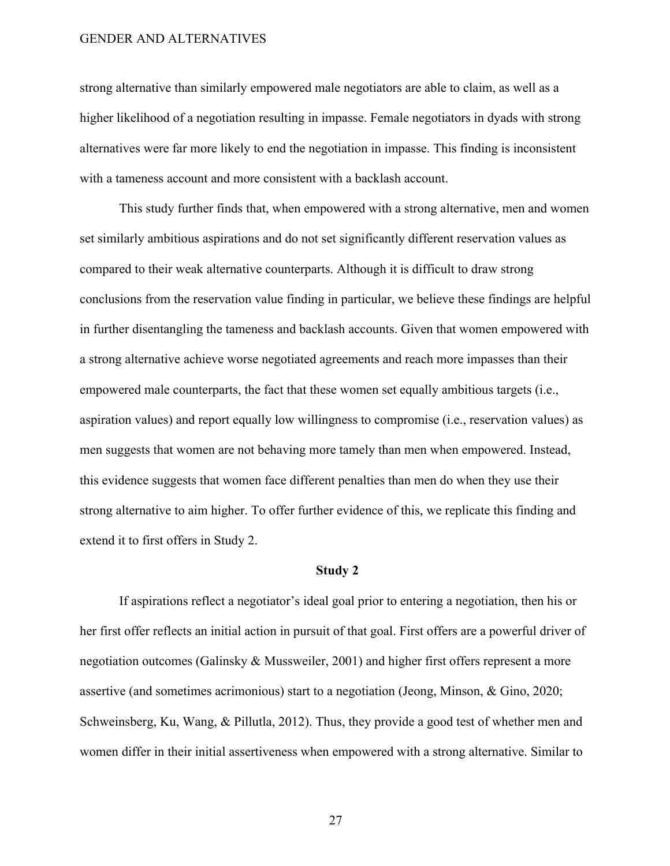strong alternative than similarly empowered male negotiators are able to claim, as well as a higher likelihood of a negotiation resulting in impasse. Female negotiators in dyads with strong alternatives were far more likely to end the negotiation in impasse. This finding is inconsistent with a tameness account and more consistent with a backlash account.

This study further finds that, when empowered with a strong alternative, men and women set similarly ambitious aspirations and do not set significantly different reservation values as compared to their weak alternative counterparts. Although it is difficult to draw strong conclusions from the reservation value finding in particular, we believe these findings are helpful in further disentangling the tameness and backlash accounts. Given that women empowered with a strong alternative achieve worse negotiated agreements and reach more impasses than their empowered male counterparts, the fact that these women set equally ambitious targets (i.e., aspiration values) and report equally low willingness to compromise (i.e., reservation values) as men suggests that women are not behaving more tamely than men when empowered. Instead, this evidence suggests that women face different penalties than men do when they use their strong alternative to aim higher. To offer further evidence of this, we replicate this finding and extend it to first offers in Study 2.

#### **Study 2**

If aspirations reflect a negotiator's ideal goal prior to entering a negotiation, then his or her first offer reflects an initial action in pursuit of that goal. First offers are a powerful driver of negotiation outcomes (Galinsky & Mussweiler, 2001) and higher first offers represent a more assertive (and sometimes acrimonious) start to a negotiation (Jeong, Minson, & Gino, 2020; Schweinsberg, Ku, Wang, & Pillutla, 2012). Thus, they provide a good test of whether men and women differ in their initial assertiveness when empowered with a strong alternative. Similar to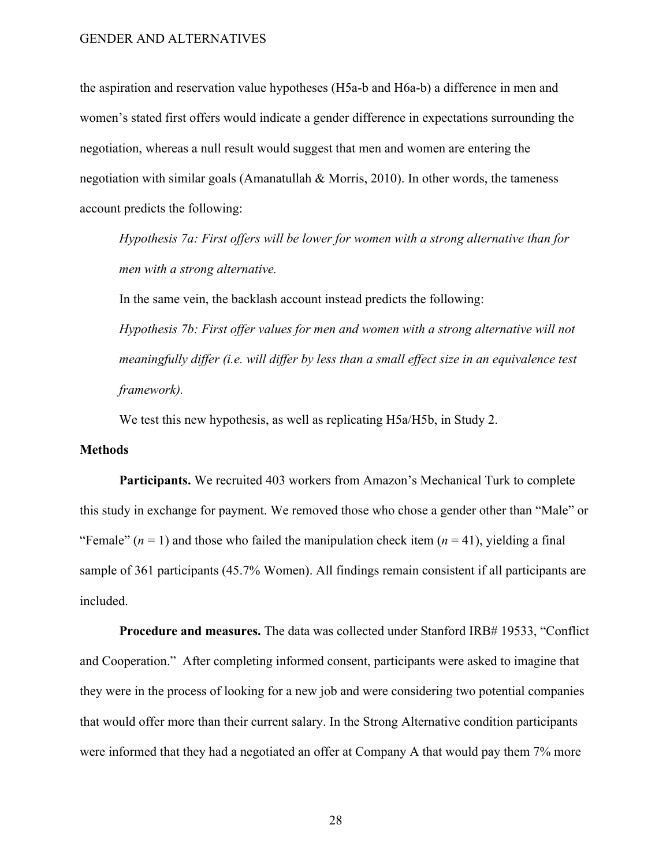the aspiration and reservation value hypotheses (H5a-b and H6a-b) a difference in men and women's stated first offers would indicate a gender difference in expectations surrounding the negotiation, whereas a null result would suggest that men and women are entering the negotiation with similar goals (Amanatullah & Morris, 2010). In other words, the tameness account predicts the following:

*Hypothesis 7a: First offers will be lower for women with a strong alternative than for men with a strong alternative.*

In the same vein, the backlash account instead predicts the following:

*Hypothesis 7b: First offer values for men and women with a strong alternative will not meaningfully differ (i.e. will differ by less than a small effect size in an equivalence test framework).*

We test this new hypothesis, as well as replicating H5a/H5b, in Study 2.

#### **Methods**

**Participants.** We recruited 403 workers from Amazon's Mechanical Turk to complete this study in exchange for payment. We removed those who chose a gender other than "Male" or "Female"  $(n = 1)$  and those who failed the manipulation check item  $(n = 41)$ , yielding a final sample of 361 participants (45.7% Women). All findings remain consistent if all participants are included.

**Procedure and measures.** The data was collected under Stanford IRB# 19533, "Conflict and Cooperation." After completing informed consent, participants were asked to imagine that they were in the process of looking for a new job and were considering two potential companies that would offer more than their current salary. In the Strong Alternative condition participants were informed that they had a negotiated an offer at Company A that would pay them 7% more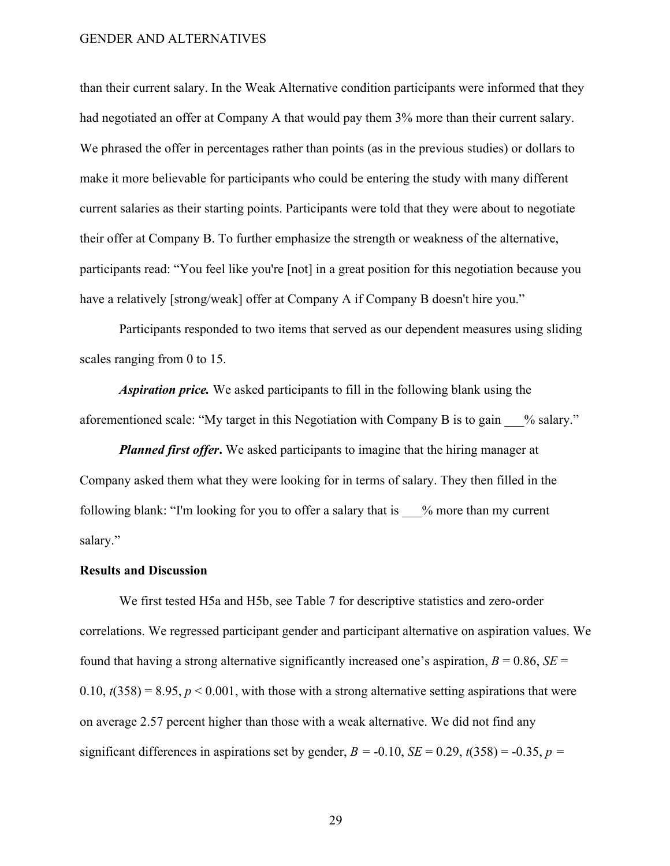than their current salary. In the Weak Alternative condition participants were informed that they had negotiated an offer at Company A that would pay them 3% more than their current salary. We phrased the offer in percentages rather than points (as in the previous studies) or dollars to make it more believable for participants who could be entering the study with many different current salaries as their starting points. Participants were told that they were about to negotiate their offer at Company B. To further emphasize the strength or weakness of the alternative, participants read: "You feel like you're [not] in a great position for this negotiation because you have a relatively [strong/weak] offer at Company A if Company B doesn't hire you."

Participants responded to two items that served as our dependent measures using sliding scales ranging from 0 to 15.

*Aspiration price.* We asked participants to fill in the following blank using the aforementioned scale: "My target in this Negotiation with Company B is to gain % salary."

*Planned first offer***.** We asked participants to imagine that the hiring manager at Company asked them what they were looking for in terms of salary. They then filled in the following blank: "I'm looking for you to offer a salary that is \_\_\_% more than my current salary."

#### **Results and Discussion**

We first tested H5a and H5b, see Table 7 for descriptive statistics and zero-order correlations. We regressed participant gender and participant alternative on aspiration values. We found that having a strong alternative significantly increased one's aspiration,  $B = 0.86$ ,  $SE =$  $(0.10, t(358) = 8.95, p < 0.001$ , with those with a strong alternative setting aspirations that were on average 2.57 percent higher than those with a weak alternative. We did not find any significant differences in aspirations set by gender,  $B = -0.10$ ,  $SE = 0.29$ ,  $t(358) = -0.35$ ,  $p =$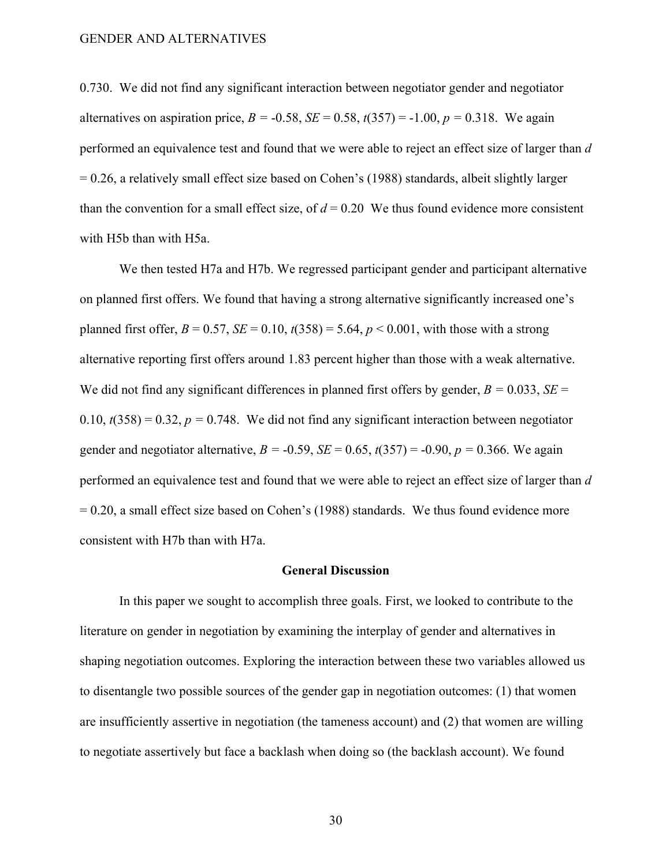0.730. We did not find any significant interaction between negotiator gender and negotiator alternatives on aspiration price,  $B = -0.58$ ,  $SE = 0.58$ ,  $t(357) = -1.00$ ,  $p = 0.318$ . We again performed an equivalence test and found that we were able to reject an effect size of larger than *d*   $= 0.26$ , a relatively small effect size based on Cohen's (1988) standards, albeit slightly larger than the convention for a small effect size, of  $d = 0.20$  We thus found evidence more consistent with H5b than with H5a.

We then tested H7a and H7b. We regressed participant gender and participant alternative on planned first offers. We found that having a strong alternative significantly increased one's planned first offer,  $B = 0.57$ ,  $SE = 0.10$ ,  $t(358) = 5.64$ ,  $p < 0.001$ , with those with a strong alternative reporting first offers around 1.83 percent higher than those with a weak alternative. We did not find any significant differences in planned first offers by gender,  $B = 0.033$ ,  $SE =$  $(0.10, t(358) = 0.32, p = 0.748$ . We did not find any significant interaction between negotiator gender and negotiator alternative,  $B = -0.59$ ,  $SE = 0.65$ ,  $t(357) = -0.90$ ,  $p = 0.366$ . We again performed an equivalence test and found that we were able to reject an effect size of larger than *d* = 0.20, a small effect size based on Cohen's (1988) standards. We thus found evidence more consistent with H7b than with H7a.

#### **General Discussion**

In this paper we sought to accomplish three goals. First, we looked to contribute to the literature on gender in negotiation by examining the interplay of gender and alternatives in shaping negotiation outcomes. Exploring the interaction between these two variables allowed us to disentangle two possible sources of the gender gap in negotiation outcomes: (1) that women are insufficiently assertive in negotiation (the tameness account) and (2) that women are willing to negotiate assertively but face a backlash when doing so (the backlash account). We found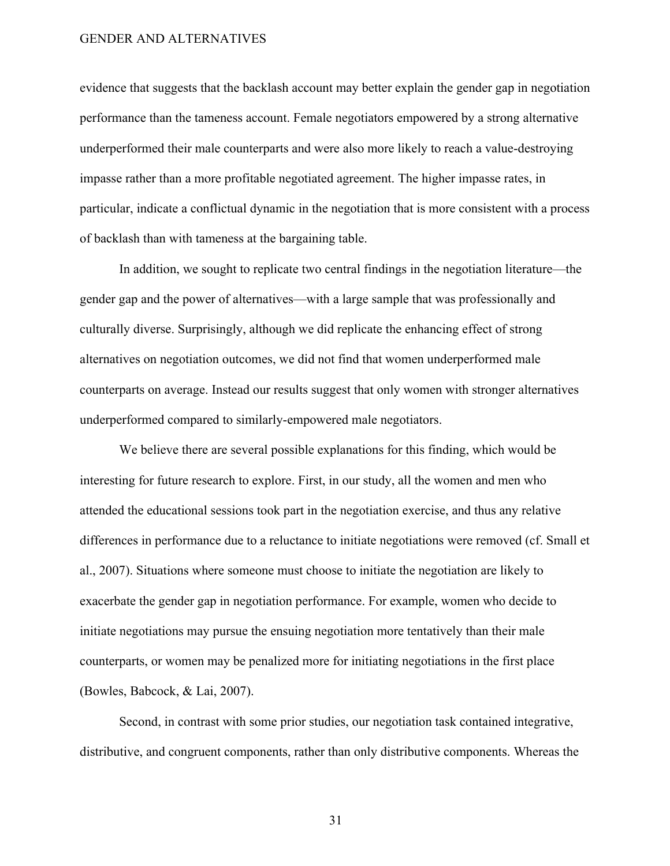evidence that suggests that the backlash account may better explain the gender gap in negotiation performance than the tameness account. Female negotiators empowered by a strong alternative underperformed their male counterparts and were also more likely to reach a value-destroying impasse rather than a more profitable negotiated agreement. The higher impasse rates, in particular, indicate a conflictual dynamic in the negotiation that is more consistent with a process of backlash than with tameness at the bargaining table.

In addition, we sought to replicate two central findings in the negotiation literature—the gender gap and the power of alternatives—with a large sample that was professionally and culturally diverse. Surprisingly, although we did replicate the enhancing effect of strong alternatives on negotiation outcomes, we did not find that women underperformed male counterparts on average. Instead our results suggest that only women with stronger alternatives underperformed compared to similarly-empowered male negotiators.

We believe there are several possible explanations for this finding, which would be interesting for future research to explore. First, in our study, all the women and men who attended the educational sessions took part in the negotiation exercise, and thus any relative differences in performance due to a reluctance to initiate negotiations were removed (cf. Small et al., 2007). Situations where someone must choose to initiate the negotiation are likely to exacerbate the gender gap in negotiation performance. For example, women who decide to initiate negotiations may pursue the ensuing negotiation more tentatively than their male counterparts, or women may be penalized more for initiating negotiations in the first place (Bowles, Babcock, & Lai, 2007).

Second, in contrast with some prior studies, our negotiation task contained integrative, distributive, and congruent components, rather than only distributive components. Whereas the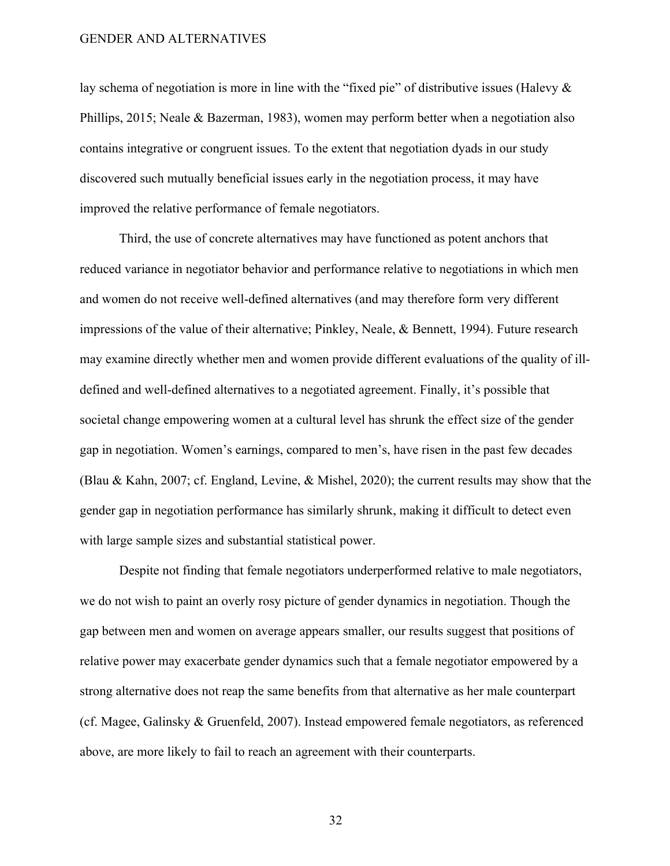lay schema of negotiation is more in line with the "fixed pie" of distributive issues (Halevy & Phillips, 2015; Neale & Bazerman, 1983), women may perform better when a negotiation also contains integrative or congruent issues. To the extent that negotiation dyads in our study discovered such mutually beneficial issues early in the negotiation process, it may have improved the relative performance of female negotiators.

Third, the use of concrete alternatives may have functioned as potent anchors that reduced variance in negotiator behavior and performance relative to negotiations in which men and women do not receive well-defined alternatives (and may therefore form very different impressions of the value of their alternative; Pinkley, Neale, & Bennett, 1994). Future research may examine directly whether men and women provide different evaluations of the quality of illdefined and well-defined alternatives to a negotiated agreement. Finally, it's possible that societal change empowering women at a cultural level has shrunk the effect size of the gender gap in negotiation. Women's earnings, compared to men's, have risen in the past few decades (Blau & Kahn, 2007; cf. England, Levine, & Mishel, 2020); the current results may show that the gender gap in negotiation performance has similarly shrunk, making it difficult to detect even with large sample sizes and substantial statistical power.

Despite not finding that female negotiators underperformed relative to male negotiators, we do not wish to paint an overly rosy picture of gender dynamics in negotiation. Though the gap between men and women on average appears smaller, our results suggest that positions of relative power may exacerbate gender dynamics such that a female negotiator empowered by a strong alternative does not reap the same benefits from that alternative as her male counterpart (cf. Magee, Galinsky & Gruenfeld, 2007). Instead empowered female negotiators, as referenced above, are more likely to fail to reach an agreement with their counterparts.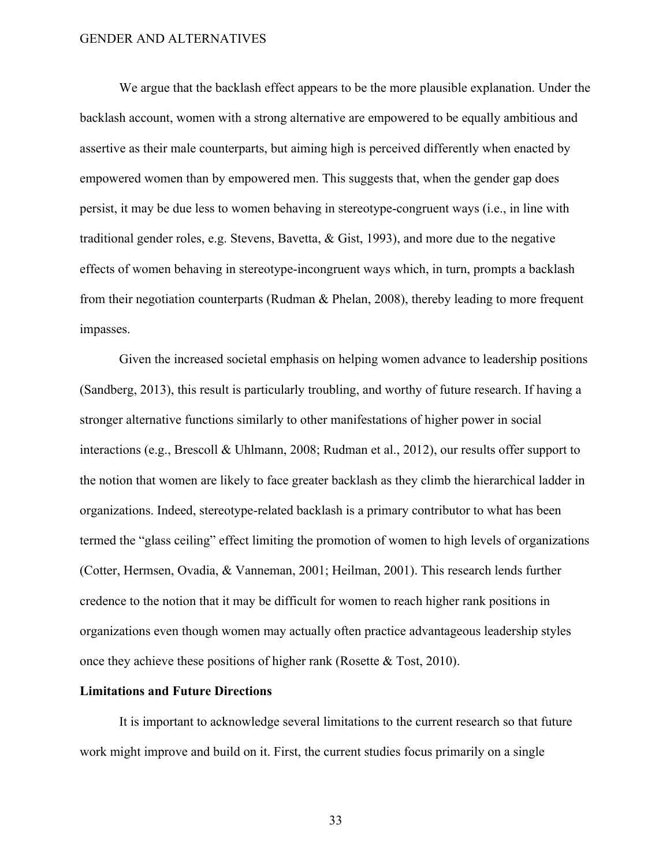We argue that the backlash effect appears to be the more plausible explanation. Under the backlash account, women with a strong alternative are empowered to be equally ambitious and assertive as their male counterparts, but aiming high is perceived differently when enacted by empowered women than by empowered men. This suggests that, when the gender gap does persist, it may be due less to women behaving in stereotype-congruent ways (i.e., in line with traditional gender roles, e.g. Stevens, Bavetta, & Gist, 1993), and more due to the negative effects of women behaving in stereotype-incongruent ways which, in turn, prompts a backlash from their negotiation counterparts (Rudman & Phelan, 2008), thereby leading to more frequent impasses.

Given the increased societal emphasis on helping women advance to leadership positions (Sandberg, 2013), this result is particularly troubling, and worthy of future research. If having a stronger alternative functions similarly to other manifestations of higher power in social interactions (e.g., Brescoll & Uhlmann, 2008; Rudman et al., 2012), our results offer support to the notion that women are likely to face greater backlash as they climb the hierarchical ladder in organizations. Indeed, stereotype-related backlash is a primary contributor to what has been termed the "glass ceiling" effect limiting the promotion of women to high levels of organizations (Cotter, Hermsen, Ovadia, & Vanneman, 2001; Heilman, 2001). This research lends further credence to the notion that it may be difficult for women to reach higher rank positions in organizations even though women may actually often practice advantageous leadership styles once they achieve these positions of higher rank (Rosette & Tost, 2010).

#### **Limitations and Future Directions**

It is important to acknowledge several limitations to the current research so that future work might improve and build on it. First, the current studies focus primarily on a single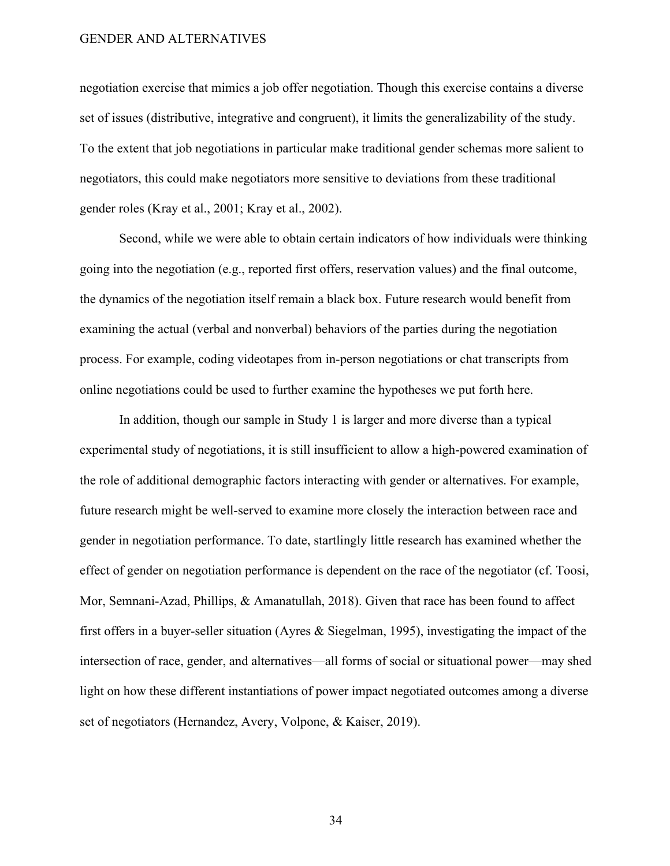negotiation exercise that mimics a job offer negotiation. Though this exercise contains a diverse set of issues (distributive, integrative and congruent), it limits the generalizability of the study. To the extent that job negotiations in particular make traditional gender schemas more salient to negotiators, this could make negotiators more sensitive to deviations from these traditional gender roles (Kray et al., 2001; Kray et al., 2002).

Second, while we were able to obtain certain indicators of how individuals were thinking going into the negotiation (e.g., reported first offers, reservation values) and the final outcome, the dynamics of the negotiation itself remain a black box. Future research would benefit from examining the actual (verbal and nonverbal) behaviors of the parties during the negotiation process. For example, coding videotapes from in-person negotiations or chat transcripts from online negotiations could be used to further examine the hypotheses we put forth here.

In addition, though our sample in Study 1 is larger and more diverse than a typical experimental study of negotiations, it is still insufficient to allow a high-powered examination of the role of additional demographic factors interacting with gender or alternatives. For example, future research might be well-served to examine more closely the interaction between race and gender in negotiation performance. To date, startlingly little research has examined whether the effect of gender on negotiation performance is dependent on the race of the negotiator (cf. Toosi, Mor, Semnani-Azad, Phillips, & Amanatullah, 2018). Given that race has been found to affect first offers in a buyer-seller situation (Ayres & Siegelman, 1995), investigating the impact of the intersection of race, gender, and alternatives—all forms of social or situational power—may shed light on how these different instantiations of power impact negotiated outcomes among a diverse set of negotiators (Hernandez, Avery, Volpone, & Kaiser, 2019).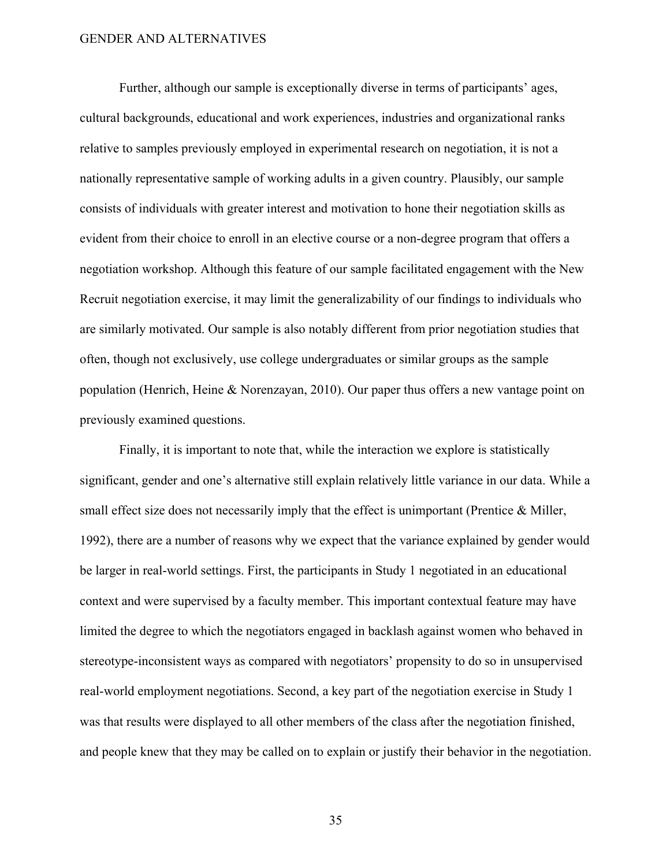Further, although our sample is exceptionally diverse in terms of participants' ages, cultural backgrounds, educational and work experiences, industries and organizational ranks relative to samples previously employed in experimental research on negotiation, it is not a nationally representative sample of working adults in a given country. Plausibly, our sample consists of individuals with greater interest and motivation to hone their negotiation skills as evident from their choice to enroll in an elective course or a non-degree program that offers a negotiation workshop. Although this feature of our sample facilitated engagement with the New Recruit negotiation exercise, it may limit the generalizability of our findings to individuals who are similarly motivated. Our sample is also notably different from prior negotiation studies that often, though not exclusively, use college undergraduates or similar groups as the sample population (Henrich, Heine & Norenzayan, 2010). Our paper thus offers a new vantage point on previously examined questions.

Finally, it is important to note that, while the interaction we explore is statistically significant, gender and one's alternative still explain relatively little variance in our data. While a small effect size does not necessarily imply that the effect is unimportant (Prentice & Miller, 1992), there are a number of reasons why we expect that the variance explained by gender would be larger in real-world settings. First, the participants in Study 1 negotiated in an educational context and were supervised by a faculty member. This important contextual feature may have limited the degree to which the negotiators engaged in backlash against women who behaved in stereotype-inconsistent ways as compared with negotiators' propensity to do so in unsupervised real-world employment negotiations. Second, a key part of the negotiation exercise in Study 1 was that results were displayed to all other members of the class after the negotiation finished, and people knew that they may be called on to explain or justify their behavior in the negotiation.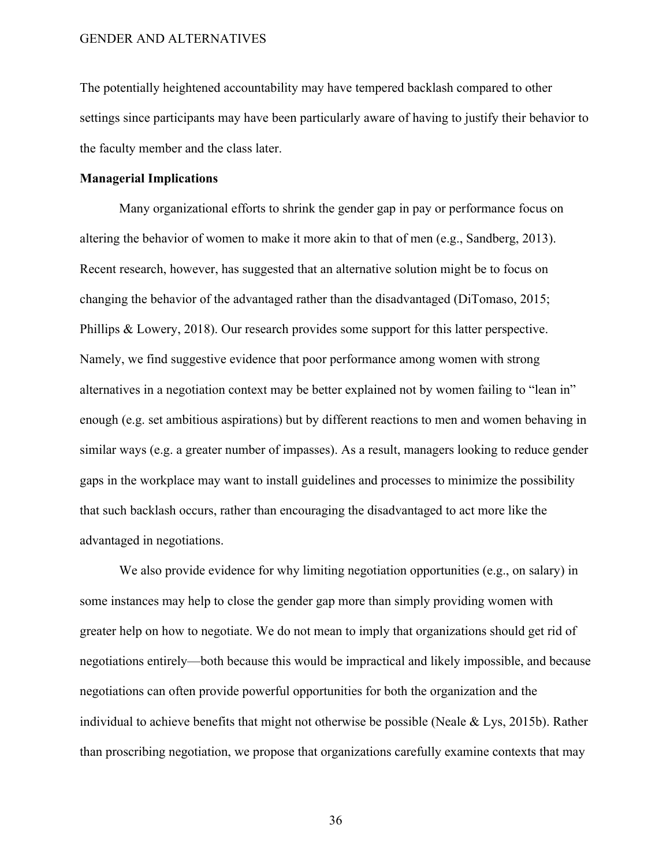The potentially heightened accountability may have tempered backlash compared to other settings since participants may have been particularly aware of having to justify their behavior to the faculty member and the class later.

#### **Managerial Implications**

Many organizational efforts to shrink the gender gap in pay or performance focus on altering the behavior of women to make it more akin to that of men (e.g., Sandberg, 2013). Recent research, however, has suggested that an alternative solution might be to focus on changing the behavior of the advantaged rather than the disadvantaged (DiTomaso, 2015; Phillips & Lowery, 2018). Our research provides some support for this latter perspective. Namely, we find suggestive evidence that poor performance among women with strong alternatives in a negotiation context may be better explained not by women failing to "lean in" enough (e.g. set ambitious aspirations) but by different reactions to men and women behaving in similar ways (e.g. a greater number of impasses). As a result, managers looking to reduce gender gaps in the workplace may want to install guidelines and processes to minimize the possibility that such backlash occurs, rather than encouraging the disadvantaged to act more like the advantaged in negotiations.

We also provide evidence for why limiting negotiation opportunities (e.g., on salary) in some instances may help to close the gender gap more than simply providing women with greater help on how to negotiate. We do not mean to imply that organizations should get rid of negotiations entirely—both because this would be impractical and likely impossible, and because negotiations can often provide powerful opportunities for both the organization and the individual to achieve benefits that might not otherwise be possible (Neale & Lys, 2015b). Rather than proscribing negotiation, we propose that organizations carefully examine contexts that may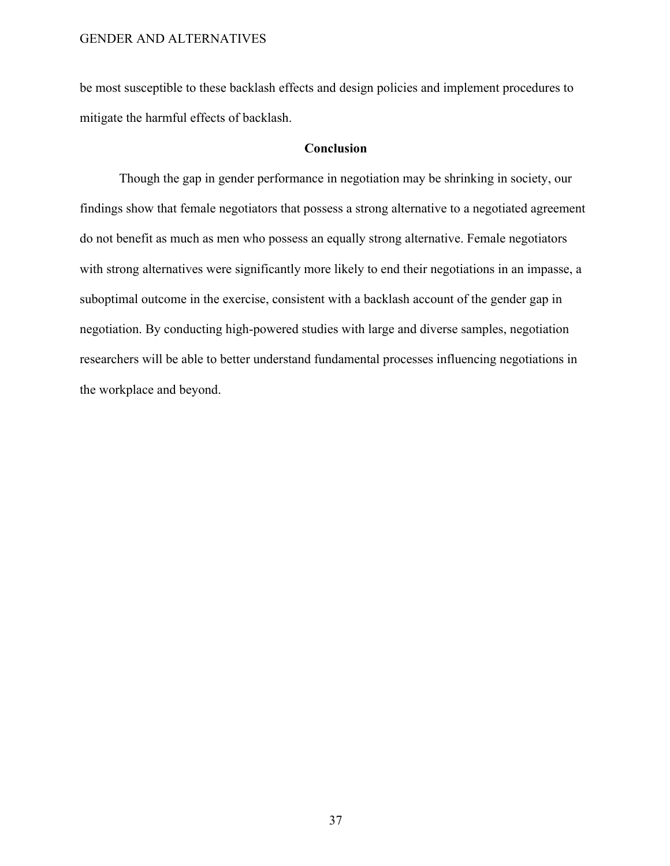be most susceptible to these backlash effects and design policies and implement procedures to mitigate the harmful effects of backlash.

#### **Conclusion**

Though the gap in gender performance in negotiation may be shrinking in society, our findings show that female negotiators that possess a strong alternative to a negotiated agreement do not benefit as much as men who possess an equally strong alternative. Female negotiators with strong alternatives were significantly more likely to end their negotiations in an impasse, a suboptimal outcome in the exercise, consistent with a backlash account of the gender gap in negotiation. By conducting high-powered studies with large and diverse samples, negotiation researchers will be able to better understand fundamental processes influencing negotiations in the workplace and beyond.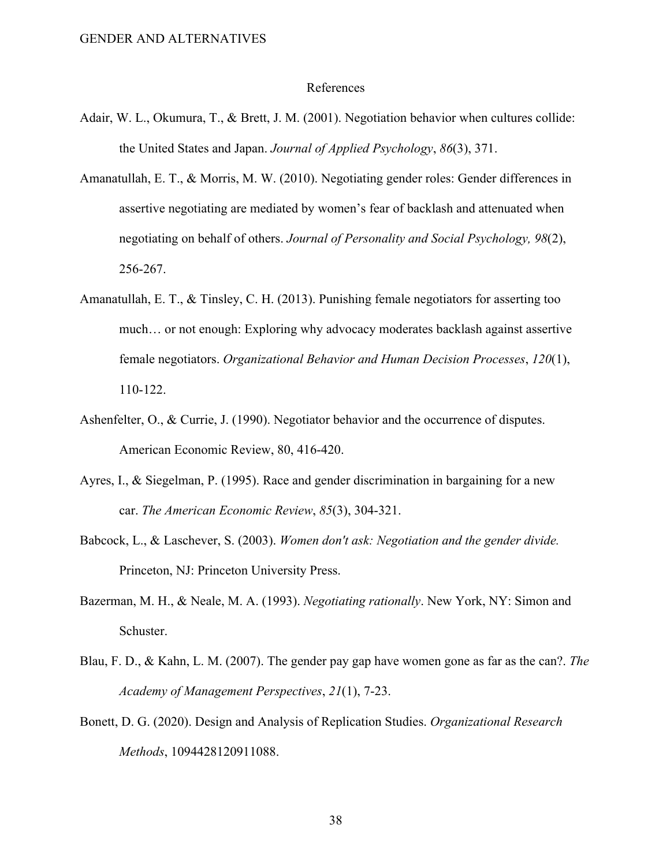#### References

- Adair, W. L., Okumura, T., & Brett, J. M. (2001). Negotiation behavior when cultures collide: the United States and Japan. *Journal of Applied Psychology*, *86*(3), 371.
- Amanatullah, E. T., & Morris, M. W. (2010). Negotiating gender roles: Gender differences in assertive negotiating are mediated by women's fear of backlash and attenuated when negotiating on behalf of others. *Journal of Personality and Social Psychology, 98*(2), 256-267.
- Amanatullah, E. T., & Tinsley, C. H. (2013). Punishing female negotiators for asserting too much… or not enough: Exploring why advocacy moderates backlash against assertive female negotiators. *Organizational Behavior and Human Decision Processes*, *120*(1), 110-122.
- Ashenfelter, O., & Currie, J. (1990). Negotiator behavior and the occurrence of disputes. American Economic Review, 80, 416-420.
- Ayres, I., & Siegelman, P. (1995). Race and gender discrimination in bargaining for a new car. *The American Economic Review*, *85*(3), 304-321.
- Babcock, L., & Laschever, S. (2003). *Women don't ask: Negotiation and the gender divide.* Princeton, NJ: Princeton University Press.
- Bazerman, M. H., & Neale, M. A. (1993). *Negotiating rationally*. New York, NY: Simon and Schuster.
- Blau, F. D., & Kahn, L. M. (2007). The gender pay gap have women gone as far as the can?. *The Academy of Management Perspectives*, *21*(1), 7-23.
- Bonett, D. G. (2020). Design and Analysis of Replication Studies. *Organizational Research Methods*, 1094428120911088.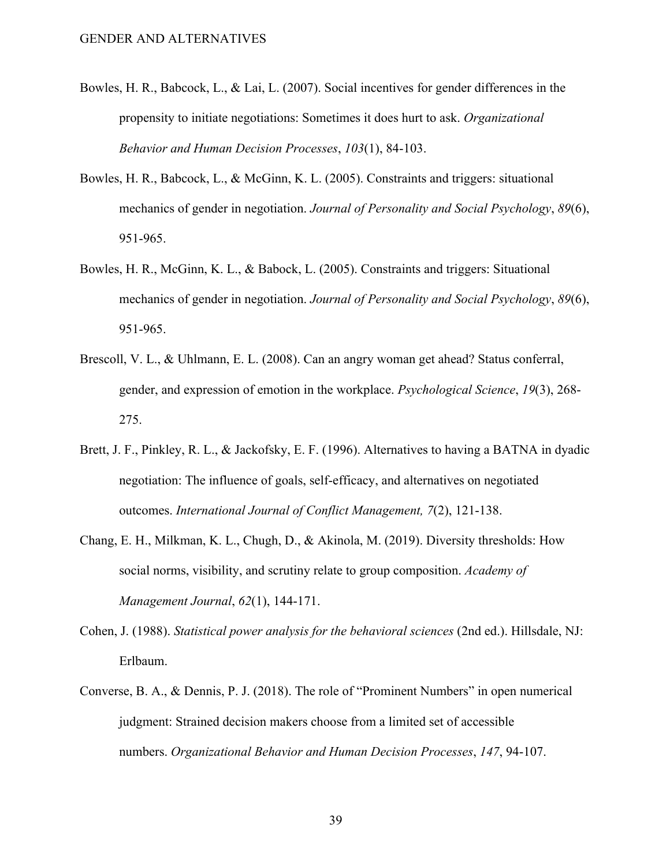- Bowles, H. R., Babcock, L., & Lai, L. (2007). Social incentives for gender differences in the propensity to initiate negotiations: Sometimes it does hurt to ask. *Organizational Behavior and Human Decision Processes*, *103*(1), 84-103.
- Bowles, H. R., Babcock, L., & McGinn, K. L. (2005). Constraints and triggers: situational mechanics of gender in negotiation. *Journal of Personality and Social Psychology*, *89*(6), 951-965.
- Bowles, H. R., McGinn, K. L., & Babock, L. (2005). Constraints and triggers: Situational mechanics of gender in negotiation. *Journal of Personality and Social Psychology*, *89*(6), 951-965.
- Brescoll, V. L., & Uhlmann, E. L. (2008). Can an angry woman get ahead? Status conferral, gender, and expression of emotion in the workplace. *Psychological Science*, *19*(3), 268- 275.
- Brett, J. F., Pinkley, R. L., & Jackofsky, E. F. (1996). Alternatives to having a BATNA in dyadic negotiation: The influence of goals, self-efficacy, and alternatives on negotiated outcomes. *International Journal of Conflict Management, 7*(2), 121-138.
- Chang, E. H., Milkman, K. L., Chugh, D., & Akinola, M. (2019). Diversity thresholds: How social norms, visibility, and scrutiny relate to group composition. *Academy of Management Journal*, *62*(1), 144-171.
- Cohen, J. (1988). *Statistical power analysis for the behavioral sciences* (2nd ed.). Hillsdale, NJ: Erlbaum.
- Converse, B. A., & Dennis, P. J. (2018). The role of "Prominent Numbers" in open numerical judgment: Strained decision makers choose from a limited set of accessible numbers. *Organizational Behavior and Human Decision Processes*, *147*, 94-107.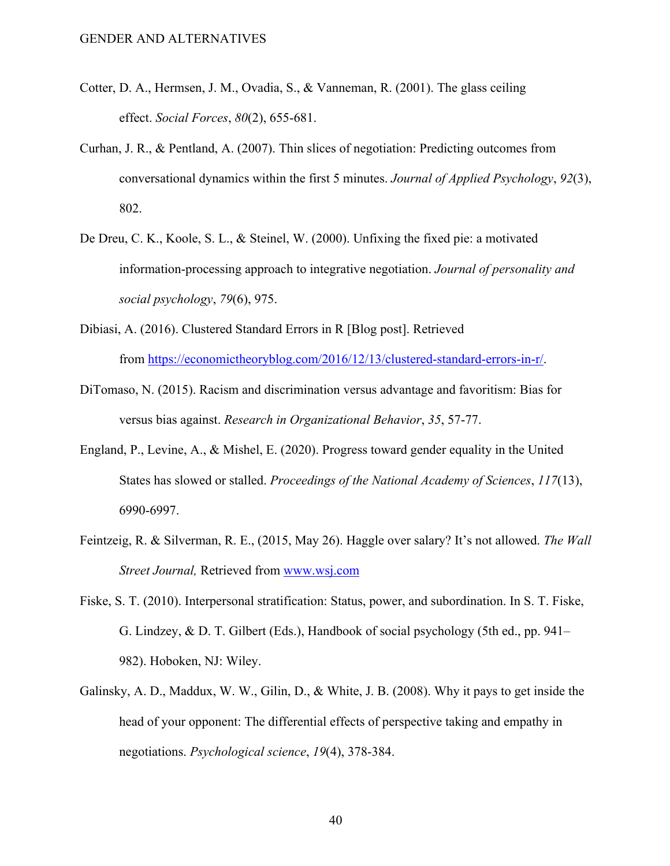- Cotter, D. A., Hermsen, J. M., Ovadia, S., & Vanneman, R. (2001). The glass ceiling effect. *Social Forces*, *80*(2), 655-681.
- Curhan, J. R., & Pentland, A. (2007). Thin slices of negotiation: Predicting outcomes from conversational dynamics within the first 5 minutes. *Journal of Applied Psychology*, *92*(3), 802.
- De Dreu, C. K., Koole, S. L., & Steinel, W. (2000). Unfixing the fixed pie: a motivated information-processing approach to integrative negotiation. *Journal of personality and social psychology*, *79*(6), 975.
- Dibiasi, A. (2016). Clustered Standard Errors in R [Blog post]. Retrieved from https://economictheoryblog.com/2016/12/13/clustered-standard-errors-in-r/.
- DiTomaso, N. (2015). Racism and discrimination versus advantage and favoritism: Bias for versus bias against. *Research in Organizational Behavior*, *35*, 57-77.
- England, P., Levine, A., & Mishel, E. (2020). Progress toward gender equality in the United States has slowed or stalled. *Proceedings of the National Academy of Sciences*, *117*(13), 6990-6997.
- Feintzeig, R. & Silverman, R. E., (2015, May 26). Haggle over salary? It's not allowed. *The Wall Street Journal,* Retrieved from www.wsj.com
- Fiske, S. T. (2010). Interpersonal stratification: Status, power, and subordination. In S. T. Fiske, G. Lindzey, & D. T. Gilbert (Eds.), Handbook of social psychology (5th ed., pp. 941– 982). Hoboken, NJ: Wiley.
- Galinsky, A. D., Maddux, W. W., Gilin, D., & White, J. B. (2008). Why it pays to get inside the head of your opponent: The differential effects of perspective taking and empathy in negotiations. *Psychological science*, *19*(4), 378-384.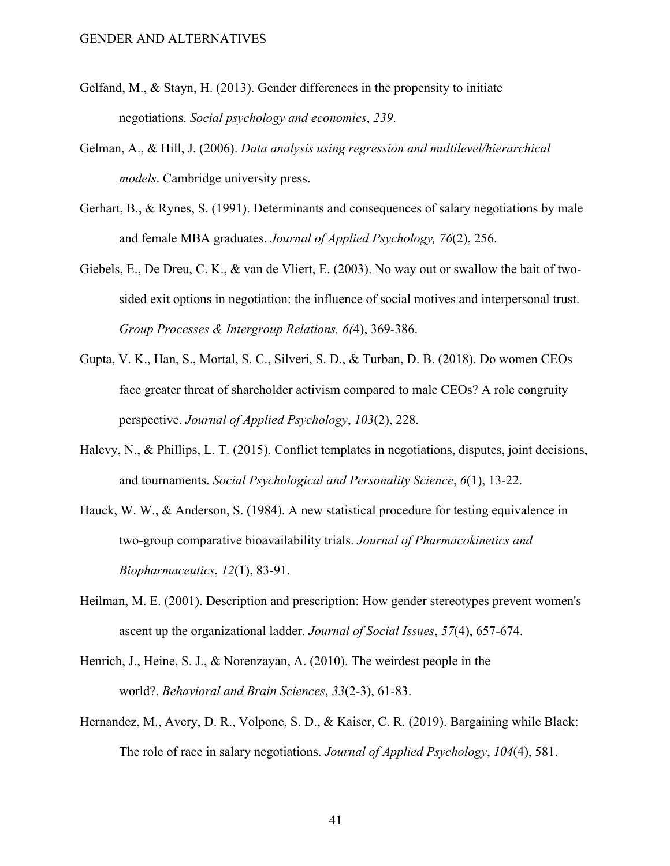- Gelfand, M., & Stayn, H. (2013). Gender differences in the propensity to initiate negotiations. *Social psychology and economics*, *239*.
- Gelman, A., & Hill, J. (2006). *Data analysis using regression and multilevel/hierarchical models*. Cambridge university press.
- Gerhart, B., & Rynes, S. (1991). Determinants and consequences of salary negotiations by male and female MBA graduates. *Journal of Applied Psychology, 76*(2), 256.
- Giebels, E., De Dreu, C. K., & van de Vliert, E. (2003). No way out or swallow the bait of twosided exit options in negotiation: the influence of social motives and interpersonal trust. *Group Processes & Intergroup Relations, 6(*4), 369-386.
- Gupta, V. K., Han, S., Mortal, S. C., Silveri, S. D., & Turban, D. B. (2018). Do women CEOs face greater threat of shareholder activism compared to male CEOs? A role congruity perspective. *Journal of Applied Psychology*, *103*(2), 228.
- Halevy, N., & Phillips, L. T. (2015). Conflict templates in negotiations, disputes, joint decisions, and tournaments. *Social Psychological and Personality Science*, *6*(1), 13-22.
- Hauck, W. W., & Anderson, S. (1984). A new statistical procedure for testing equivalence in two-group comparative bioavailability trials. *Journal of Pharmacokinetics and Biopharmaceutics*, *12*(1), 83-91.
- Heilman, M. E. (2001). Description and prescription: How gender stereotypes prevent women's ascent up the organizational ladder. *Journal of Social Issues*, *57*(4), 657-674.
- Henrich, J., Heine, S. J., & Norenzayan, A. (2010). The weirdest people in the world?. *Behavioral and Brain Sciences*, *33*(2-3), 61-83.
- Hernandez, M., Avery, D. R., Volpone, S. D., & Kaiser, C. R. (2019). Bargaining while Black: The role of race in salary negotiations. *Journal of Applied Psychology*, *104*(4), 581.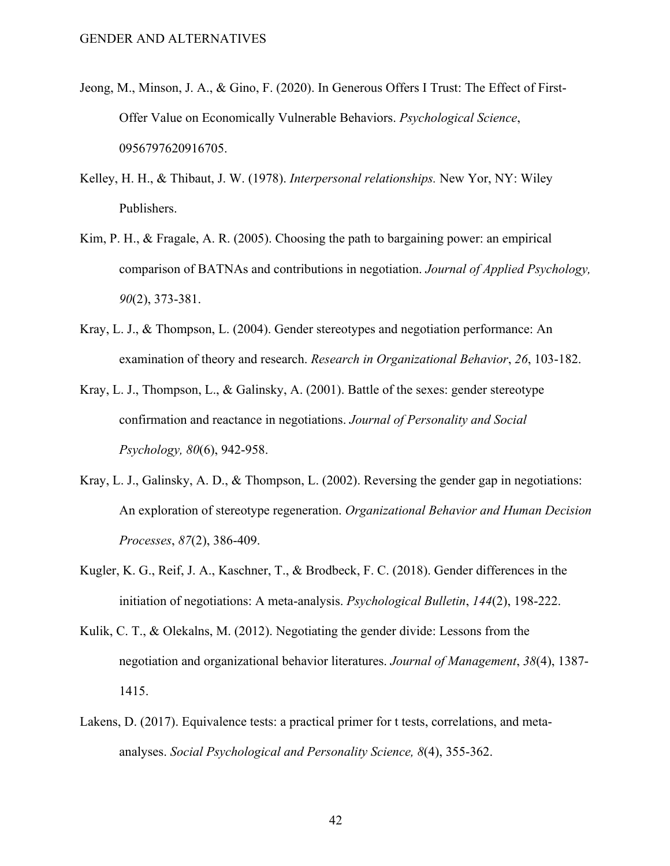- Jeong, M., Minson, J. A., & Gino, F. (2020). In Generous Offers I Trust: The Effect of First-Offer Value on Economically Vulnerable Behaviors. *Psychological Science*, 0956797620916705.
- Kelley, H. H., & Thibaut, J. W. (1978). *Interpersonal relationships.* New Yor, NY: Wiley Publishers.
- Kim, P. H., & Fragale, A. R. (2005). Choosing the path to bargaining power: an empirical comparison of BATNAs and contributions in negotiation. *Journal of Applied Psychology, 90*(2), 373-381.
- Kray, L. J., & Thompson, L. (2004). Gender stereotypes and negotiation performance: An examination of theory and research. *Research in Organizational Behavior*, *26*, 103-182.
- Kray, L. J., Thompson, L., & Galinsky, A. (2001). Battle of the sexes: gender stereotype confirmation and reactance in negotiations. *Journal of Personality and Social Psychology, 80*(6), 942-958.
- Kray, L. J., Galinsky, A. D., & Thompson, L. (2002). Reversing the gender gap in negotiations: An exploration of stereotype regeneration. *Organizational Behavior and Human Decision Processes*, *87*(2), 386-409.
- Kugler, K. G., Reif, J. A., Kaschner, T., & Brodbeck, F. C. (2018). Gender differences in the initiation of negotiations: A meta-analysis. *Psychological Bulletin*, *144*(2), 198-222.
- Kulik, C. T., & Olekalns, M. (2012). Negotiating the gender divide: Lessons from the negotiation and organizational behavior literatures. *Journal of Management*, *38*(4), 1387- 1415.
- Lakens, D. (2017). Equivalence tests: a practical primer for t tests, correlations, and metaanalyses. *Social Psychological and Personality Science, 8*(4), 355-362.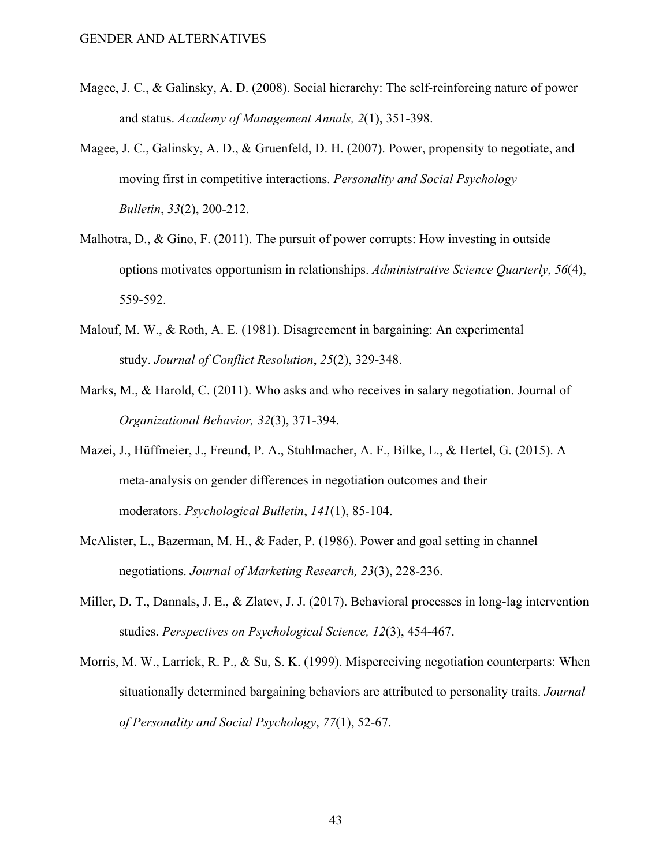- Magee, J. C., & Galinsky, A. D. (2008). Social hierarchy: The self-reinforcing nature of power and status. *Academy of Management Annals, 2*(1), 351-398.
- Magee, J. C., Galinsky, A. D., & Gruenfeld, D. H. (2007). Power, propensity to negotiate, and moving first in competitive interactions. *Personality and Social Psychology Bulletin*, *33*(2), 200-212.
- Malhotra, D., & Gino, F.  $(2011)$ . The pursuit of power corrupts: How investing in outside options motivates opportunism in relationships. *Administrative Science Quarterly*, *56*(4), 559-592.
- Malouf, M. W., & Roth, A. E. (1981). Disagreement in bargaining: An experimental study. *Journal of Conflict Resolution*, *25*(2), 329-348.
- Marks, M., & Harold, C. (2011). Who asks and who receives in salary negotiation. Journal of *Organizational Behavior, 32*(3), 371-394.
- Mazei, J., Hüffmeier, J., Freund, P. A., Stuhlmacher, A. F., Bilke, L., & Hertel, G. (2015). A meta-analysis on gender differences in negotiation outcomes and their moderators. *Psychological Bulletin*, *141*(1), 85-104.
- McAlister, L., Bazerman, M. H., & Fader, P. (1986). Power and goal setting in channel negotiations. *Journal of Marketing Research, 23*(3), 228-236.
- Miller, D. T., Dannals, J. E., & Zlatev, J. J. (2017). Behavioral processes in long-lag intervention studies. *Perspectives on Psychological Science, 12*(3), 454-467.
- Morris, M. W., Larrick, R. P., & Su, S. K. (1999). Misperceiving negotiation counterparts: When situationally determined bargaining behaviors are attributed to personality traits. *Journal of Personality and Social Psychology*, *77*(1), 52-67.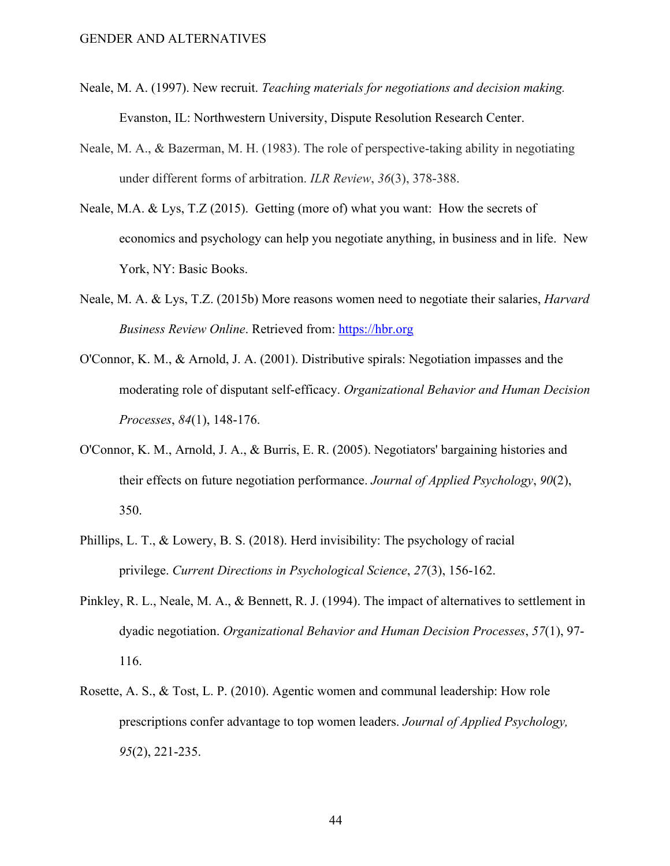- Neale, M. A. (1997). New recruit. *Teaching materials for negotiations and decision making.*  Evanston, IL: Northwestern University, Dispute Resolution Research Center.
- Neale, M. A., & Bazerman, M. H. (1983). The role of perspective-taking ability in negotiating under different forms of arbitration. *ILR Review*, *36*(3), 378-388.
- Neale, M.A. & Lys, T.Z (2015). Getting (more of) what you want: How the secrets of economics and psychology can help you negotiate anything, in business and in life. New York, NY: Basic Books.
- Neale, M. A. & Lys, T.Z. (2015b) More reasons women need to negotiate their salaries, *Harvard Business Review Online*. Retrieved from: https://hbr.org
- O'Connor, K. M., & Arnold, J. A. (2001). Distributive spirals: Negotiation impasses and the moderating role of disputant self-efficacy. *Organizational Behavior and Human Decision Processes*, *84*(1), 148-176.
- O'Connor, K. M., Arnold, J. A., & Burris, E. R. (2005). Negotiators' bargaining histories and their effects on future negotiation performance. *Journal of Applied Psychology*, *90*(2), 350.
- Phillips, L. T., & Lowery, B. S. (2018). Herd invisibility: The psychology of racial privilege. *Current Directions in Psychological Science*, *27*(3), 156-162.
- Pinkley, R. L., Neale, M. A., & Bennett, R. J. (1994). The impact of alternatives to settlement in dyadic negotiation. *Organizational Behavior and Human Decision Processes*, *57*(1), 97- 116.
- Rosette, A. S., & Tost, L. P. (2010). Agentic women and communal leadership: How role prescriptions confer advantage to top women leaders. *Journal of Applied Psychology, 95*(2), 221-235.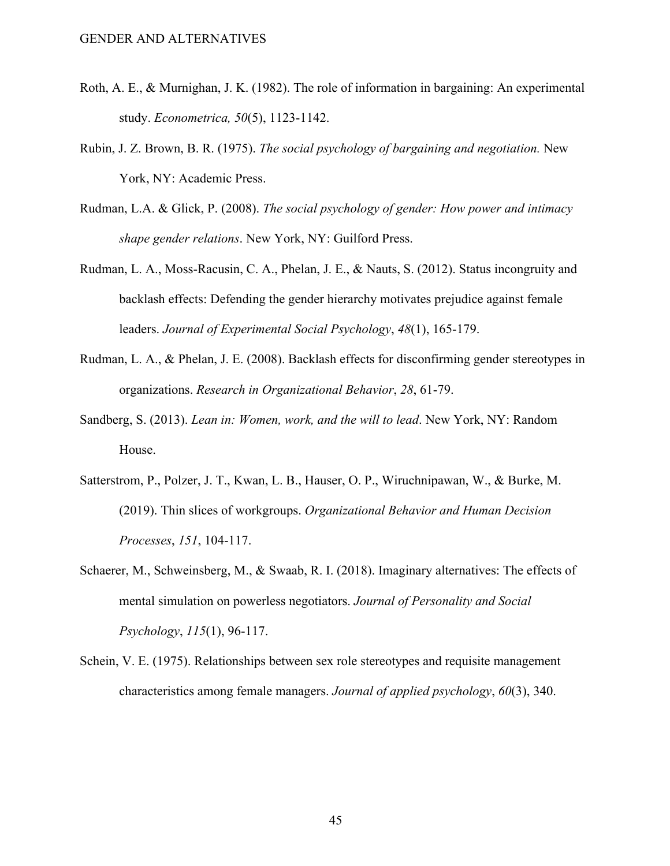- Roth, A. E., & Murnighan, J. K. (1982). The role of information in bargaining: An experimental study. *Econometrica, 50*(5), 1123-1142.
- Rubin, J. Z. Brown, B. R. (1975). *The social psychology of bargaining and negotiation.* New York, NY: Academic Press.
- Rudman, L.A. & Glick, P. (2008). *The social psychology of gender: How power and intimacy shape gender relations*. New York, NY: Guilford Press.
- Rudman, L. A., Moss-Racusin, C. A., Phelan, J. E., & Nauts, S. (2012). Status incongruity and backlash effects: Defending the gender hierarchy motivates prejudice against female leaders. *Journal of Experimental Social Psychology*, *48*(1), 165-179.
- Rudman, L. A., & Phelan, J. E. (2008). Backlash effects for disconfirming gender stereotypes in organizations. *Research in Organizational Behavior*, *28*, 61-79.
- Sandberg, S. (2013). *Lean in: Women, work, and the will to lead*. New York, NY: Random House.
- Satterstrom, P., Polzer, J. T., Kwan, L. B., Hauser, O. P., Wiruchnipawan, W., & Burke, M. (2019). Thin slices of workgroups. *Organizational Behavior and Human Decision Processes*, *151*, 104-117.
- Schaerer, M., Schweinsberg, M., & Swaab, R. I. (2018). Imaginary alternatives: The effects of mental simulation on powerless negotiators. *Journal of Personality and Social Psychology*, *115*(1), 96-117.
- Schein, V. E. (1975). Relationships between sex role stereotypes and requisite management characteristics among female managers. *Journal of applied psychology*, *60*(3), 340.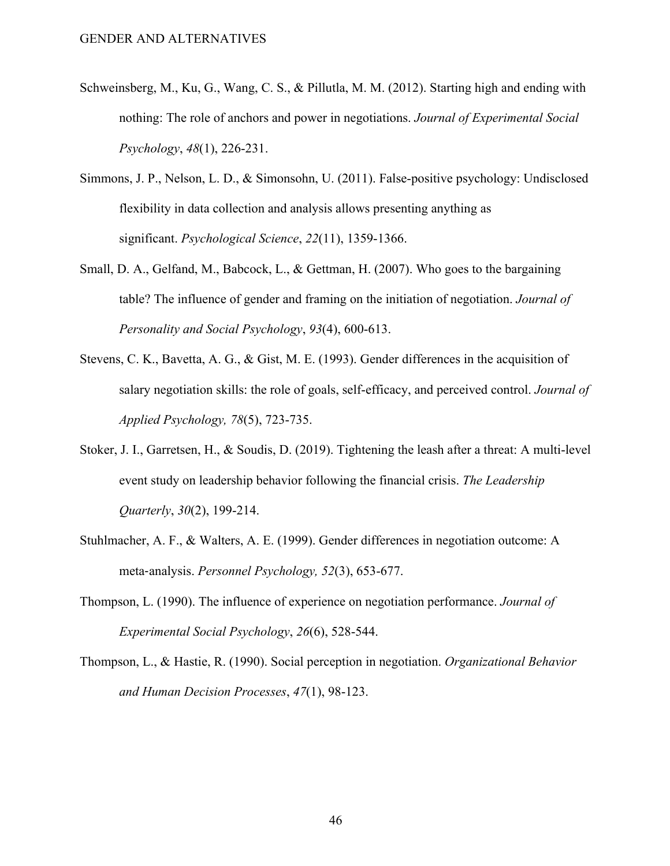- Schweinsberg, M., Ku, G., Wang, C. S., & Pillutla, M. M. (2012). Starting high and ending with nothing: The role of anchors and power in negotiations. *Journal of Experimental Social Psychology*, *48*(1), 226-231.
- Simmons, J. P., Nelson, L. D., & Simonsohn, U. (2011). False-positive psychology: Undisclosed flexibility in data collection and analysis allows presenting anything as significant. *Psychological Science*, *22*(11), 1359-1366.
- Small, D. A., Gelfand, M., Babcock, L., & Gettman, H. (2007). Who goes to the bargaining table? The influence of gender and framing on the initiation of negotiation. *Journal of Personality and Social Psychology*, *93*(4), 600-613.
- Stevens, C. K., Bavetta, A. G., & Gist, M. E. (1993). Gender differences in the acquisition of salary negotiation skills: the role of goals, self-efficacy, and perceived control. *Journal of Applied Psychology, 78*(5), 723-735.
- Stoker, J. I., Garretsen, H., & Soudis, D. (2019). Tightening the leash after a threat: A multi-level event study on leadership behavior following the financial crisis. *The Leadership Quarterly*, *30*(2), 199-214.
- Stuhlmacher, A. F., & Walters, A. E. (1999). Gender differences in negotiation outcome: A meta-analysis. *Personnel Psychology, 52*(3), 653-677.
- Thompson, L. (1990). The influence of experience on negotiation performance. *Journal of Experimental Social Psychology*, *26*(6), 528-544.
- Thompson, L., & Hastie, R. (1990). Social perception in negotiation. *Organizational Behavior and Human Decision Processes*, *47*(1), 98-123.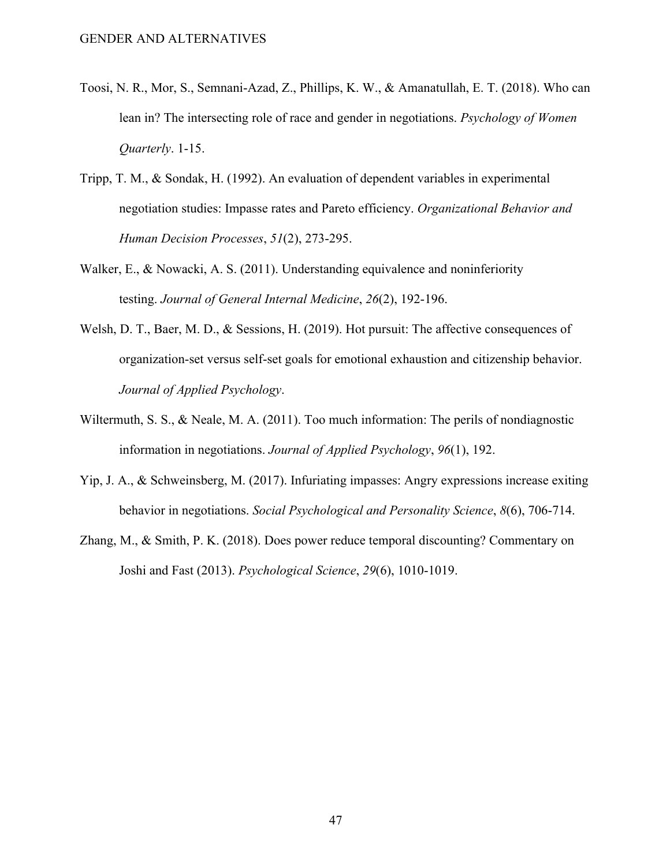- Toosi, N. R., Mor, S., Semnani-Azad, Z., Phillips, K. W., & Amanatullah, E. T. (2018). Who can lean in? The intersecting role of race and gender in negotiations. *Psychology of Women Quarterly*. 1-15.
- Tripp, T. M., & Sondak, H. (1992). An evaluation of dependent variables in experimental negotiation studies: Impasse rates and Pareto efficiency. *Organizational Behavior and Human Decision Processes*, *51*(2), 273-295.
- Walker, E., & Nowacki, A. S. (2011). Understanding equivalence and noninferiority testing. *Journal of General Internal Medicine*, *26*(2), 192-196.
- Welsh, D. T., Baer, M. D., & Sessions, H. (2019). Hot pursuit: The affective consequences of organization-set versus self-set goals for emotional exhaustion and citizenship behavior. *Journal of Applied Psychology*.
- Wiltermuth, S. S., & Neale, M. A. (2011). Too much information: The perils of nondiagnostic information in negotiations. *Journal of Applied Psychology*, *96*(1), 192.
- Yip, J. A., & Schweinsberg, M. (2017). Infuriating impasses: Angry expressions increase exiting behavior in negotiations. *Social Psychological and Personality Science*, *8*(6), 706-714.
- Zhang, M., & Smith, P. K. (2018). Does power reduce temporal discounting? Commentary on Joshi and Fast (2013). *Psychological Science*, *29*(6), 1010-1019.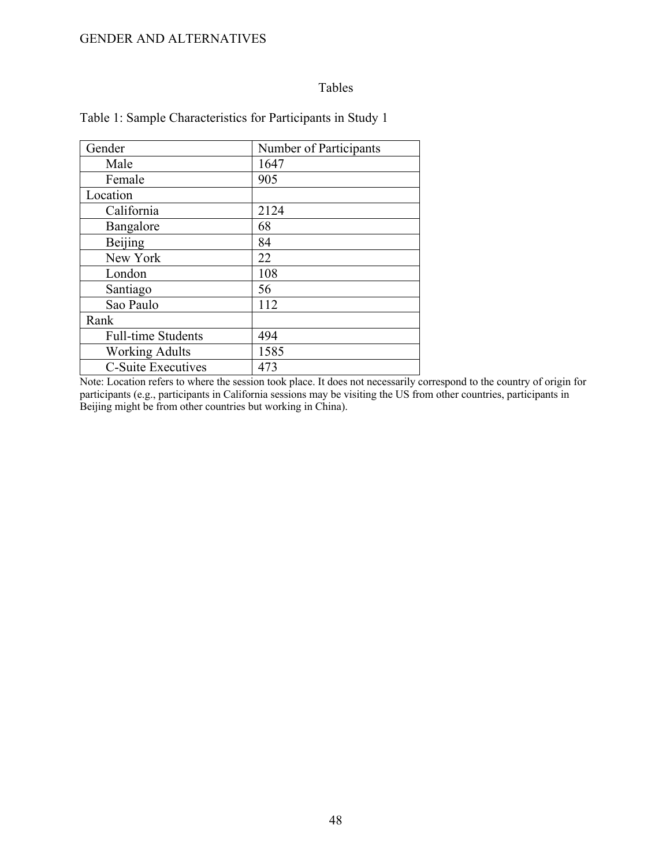## Tables

| Gender                    | Number of Participants |
|---------------------------|------------------------|
| Male                      | 1647                   |
| Female                    | 905                    |
| Location                  |                        |
| California                | 2124                   |
| Bangalore                 | 68                     |
| Beijing                   | 84                     |
| New York                  | 22                     |
| London                    | 108                    |
| Santiago                  | 56                     |
| Sao Paulo                 | 112                    |
| Rank                      |                        |
| <b>Full-time Students</b> | 494                    |
| <b>Working Adults</b>     | 1585                   |
| <b>C-Suite Executives</b> | 473                    |

## Table 1: Sample Characteristics for Participants in Study 1

Note: Location refers to where the session took place. It does not necessarily correspond to the country of origin for participants (e.g., participants in California sessions may be visiting the US from other countries, participants in Beijing might be from other countries but working in China).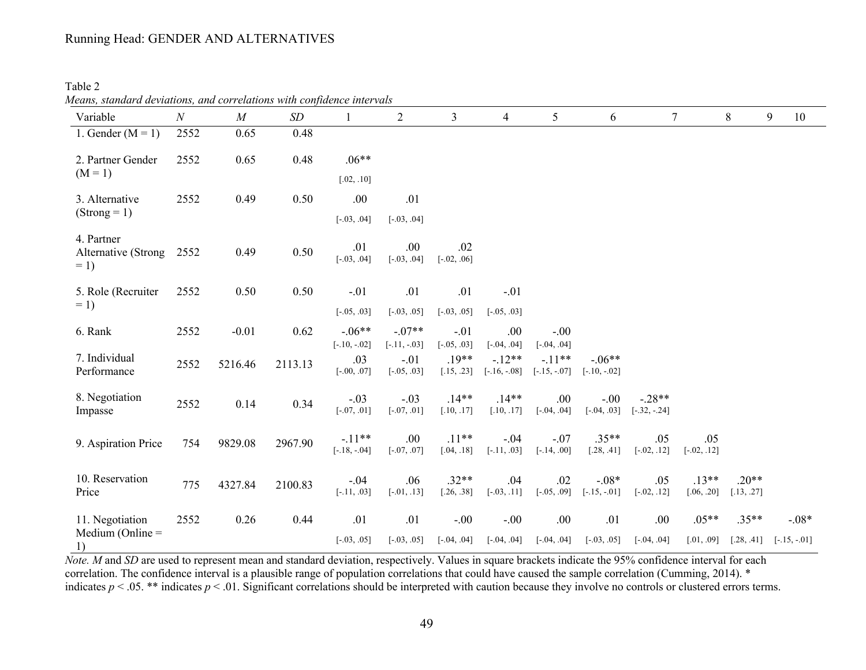## Running Head: GENDER AND ALTERNATIVES

Table 2

|                                            | Means, standard deviations, and correlations with confidence intervals |          |         |                                       |                                           |                                        |                                             |                                            |                            |                            |                       |                       |                |  |
|--------------------------------------------|------------------------------------------------------------------------|----------|---------|---------------------------------------|-------------------------------------------|----------------------------------------|---------------------------------------------|--------------------------------------------|----------------------------|----------------------------|-----------------------|-----------------------|----------------|--|
| Variable                                   | $\boldsymbol{N}$                                                       | $\cal M$ | SD      |                                       | $\overline{2}$                            | $\mathfrak{Z}$                         | $\overline{4}$                              | 5                                          | 6                          |                            | $\tau$                | 8                     | 9<br>10        |  |
| 1. Gender $(M = 1)$                        | 2552                                                                   | 0.65     | 0.48    |                                       |                                           |                                        |                                             |                                            |                            |                            |                       |                       |                |  |
| 2. Partner Gender                          | 2552                                                                   | 0.65     | 0.48    | $.06**$                               |                                           |                                        |                                             |                                            |                            |                            |                       |                       |                |  |
| $(M = 1)$                                  |                                                                        |          |         | [.02, .10]                            |                                           |                                        |                                             |                                            |                            |                            |                       |                       |                |  |
| 3. Alternative                             | 2552                                                                   | 0.49     | 0.50    | .00                                   | .01                                       |                                        |                                             |                                            |                            |                            |                       |                       |                |  |
| $(Strong = 1)$                             |                                                                        |          |         | $[-.03, .04]$                         | $[-.03, .04]$                             |                                        |                                             |                                            |                            |                            |                       |                       |                |  |
| 4. Partner<br>Alternative (Strong<br>$= 1$ | 2552                                                                   | 0.49     | 0.50    | .01<br>$[-.03, .04]$                  | .00<br>$[-.03, .04]$                      | .02<br>$[-.02, .06]$                   |                                             |                                            |                            |                            |                       |                       |                |  |
| 5. Role (Recruiter                         | 2552                                                                   | 0.50     | 0.50    | $-.01$                                | .01                                       | .01                                    | $-.01$                                      |                                            |                            |                            |                       |                       |                |  |
| $= 1$                                      |                                                                        |          |         | $[-.05, .03]$                         | $[-.03, .05]$                             | $[-.03, .05]$                          | $[-.05, .03]$                               |                                            |                            |                            |                       |                       |                |  |
| 6. Rank                                    | 2552                                                                   | $-0.01$  | 0.62    | $-.06**$                              | $-.07**$                                  | $-.01$                                 | .00                                         | $-.00$                                     |                            |                            |                       |                       |                |  |
| 7. Individual<br>Performance               | 2552                                                                   | 5216.46  | 2113.13 | $[-.10, -02]$<br>.03<br>$[-.00, .07]$ | $[-.11, -.03]$<br>$-.01$<br>$[-.05, .03]$ | $[-.05, .03]$<br>$.19**$<br>[.15, .23] | $[-.04, .04]$<br>$-.12**$<br>$[-.16, -.08]$ | $[-.04, .04]$<br>$-11**$<br>$[-.15, -.07]$ | $-.06**$<br>$[-.10, -.02]$ |                            |                       |                       |                |  |
| 8. Negotiation<br>Impasse                  | 2552                                                                   | 0.14     | 0.34    | $-.03$<br>$[-0.07, 0.01]$             | $-.03$<br>$[-.07, .01]$                   | $.14**$<br>[.10, .17]                  | $.14**$<br>[.10, .17]                       | .00.<br>$[-.04, .04]$                      | $-.00$<br>$[-.04, .03]$    | $-.28**$<br>$[-.32, -.24]$ |                       |                       |                |  |
| 9. Aspiration Price                        | 754                                                                    | 9829.08  | 2967.90 | $-.11**$<br>$[-.18, -.04]$            | .00<br>$[-.07, .07]$                      | $.11**$<br>[.04, .18]                  | $-.04$<br>$[-.11, .03]$                     | $-.07$<br>$[-.14, .00]$                    | $.35**$<br>[.28, .41]      | .05<br>$[-.02, .12]$       | .05<br>$[-.02, .12]$  |                       |                |  |
| 10. Reservation<br>Price                   | 775                                                                    | 4327.84  | 2100.83 | $-.04$<br>$[-.11, .03]$               | .06<br>$[-.01, .13]$                      | $.32**$<br>[.26, .38]                  | .04<br>$[-.03, .11]$                        | .02<br>$[-.05, .09]$                       | $-.08*$<br>$[-.15, -.01]$  | .05<br>$[-.02, .12]$       | $.13**$<br>[.06, .20] | $.20**$<br>[.13, .27] |                |  |
| 11. Negotiation                            | 2552                                                                   | 0.26     | 0.44    | .01                                   | .01                                       | $-.00$                                 | $-.00$                                      | .00                                        | .01                        | .00.                       | $.05**$               | $.35**$               | $-0.08*$       |  |
| Medium (Online $=$<br>1)                   |                                                                        |          |         | $[-.03, .05]$                         | $[-.03, .05]$                             | $[-.04, .04]$                          | $[-.04, .04]$                               | $[-.04, .04]$                              | $[-.03, .05]$              | $[-.04, .04]$              | [.01, .09]            | [.28, .41]            | $[-.15, -.01]$ |  |

*Note. M* and *SD* are used to represent mean and standard deviation, respectively. Values in square brackets indicate the 95% confidence interval for each correlation. The confidence interval is a plausible range of population correlations that could have caused the sample correlation (Cumming, 2014). \* indicates  $p < 0.05$ . \*\* indicates  $p < 0.01$ . Significant correlations should be interpreted with caution because they involve no controls or clustered errors terms.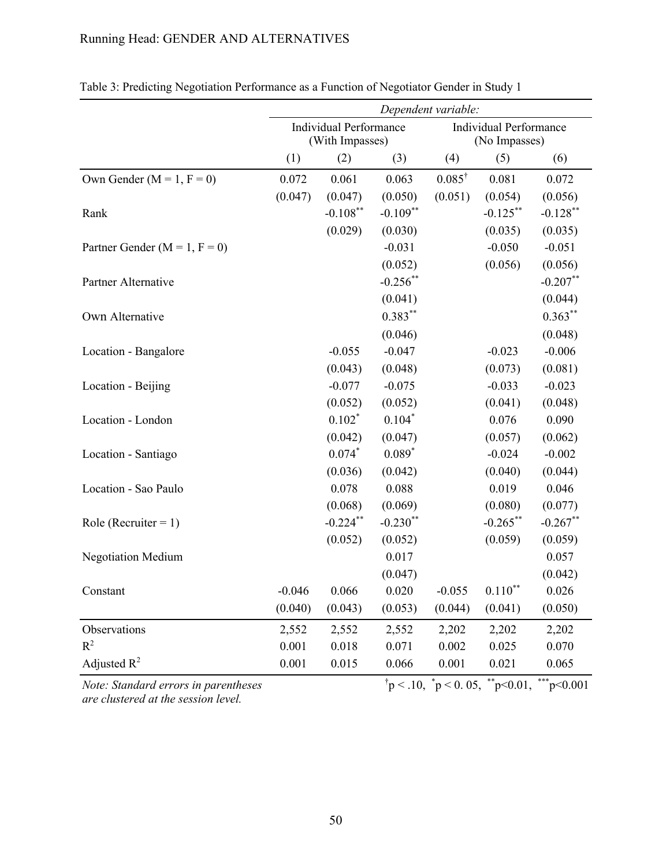## Running Head: GENDER AND ALTERNATIVES

|                                      | Dependent variable:                              |             |             |                   |                                                         |              |
|--------------------------------------|--------------------------------------------------|-------------|-------------|-------------------|---------------------------------------------------------|--------------|
|                                      | <b>Individual Performance</b><br>(With Impasses) |             |             |                   | <b>Individual Performance</b><br>(No Impasses)          |              |
|                                      | (1)                                              | (2)         | (3)         | (4)               | (5)                                                     | (6)          |
| Own Gender ( $M = 1$ , $F = 0$ )     | 0.072                                            | 0.061       | 0.063       | $0.085^{\dagger}$ | 0.081                                                   | 0.072        |
|                                      | (0.047)                                          | (0.047)     | (0.050)     | (0.051)           | (0.054)                                                 | (0.056)      |
| Rank                                 |                                                  | $-0.108***$ | $-0.109$ ** |                   | $-0.125***$                                             | $-0.128$ **  |
|                                      |                                                  | (0.029)     | (0.030)     |                   | (0.035)                                                 | (0.035)      |
| Partner Gender ( $M = 1$ , $F = 0$ ) |                                                  |             | $-0.031$    |                   | $-0.050$                                                | $-0.051$     |
|                                      |                                                  |             | (0.052)     |                   | (0.056)                                                 | (0.056)      |
| Partner Alternative                  |                                                  |             | $-0.256$ ** |                   |                                                         | $-0.207**$   |
|                                      |                                                  |             | (0.041)     |                   |                                                         | (0.044)      |
| Own Alternative                      |                                                  |             | $0.383***$  |                   |                                                         | $0.363**$    |
|                                      |                                                  |             | (0.046)     |                   |                                                         | (0.048)      |
| Location - Bangalore                 |                                                  | $-0.055$    | $-0.047$    |                   | $-0.023$                                                | $-0.006$     |
|                                      |                                                  | (0.043)     | (0.048)     |                   | (0.073)                                                 | (0.081)      |
| Location - Beijing                   |                                                  | $-0.077$    | $-0.075$    |                   | $-0.033$                                                | $-0.023$     |
|                                      |                                                  | (0.052)     | (0.052)     |                   | (0.041)                                                 | (0.048)      |
| Location - London                    |                                                  | $0.102*$    | $0.104*$    |                   | 0.076                                                   | 0.090        |
|                                      |                                                  | (0.042)     | (0.047)     |                   | (0.057)                                                 | (0.062)      |
| Location - Santiago                  |                                                  | $0.074*$    | $0.089*$    |                   | $-0.024$                                                | $-0.002$     |
|                                      |                                                  | (0.036)     | (0.042)     |                   | (0.040)                                                 | (0.044)      |
| Location - Sao Paulo                 |                                                  | 0.078       | 0.088       |                   | 0.019                                                   | 0.046        |
|                                      |                                                  | (0.068)     | (0.069)     |                   | (0.080)                                                 | (0.077)      |
| Role (Recruiter = $1$ )              |                                                  | $-0.224$ ** | $-0.230$ ** |                   | $-0.265$ **                                             | $-0.267$ **  |
|                                      |                                                  | (0.052)     | (0.052)     |                   | (0.059)                                                 | (0.059)      |
| <b>Negotiation Medium</b>            |                                                  |             | 0.017       |                   |                                                         | 0.057        |
|                                      |                                                  |             | (0.047)     |                   |                                                         | (0.042)      |
| Constant                             | $-0.046$                                         | 0.066       | 0.020       | $-0.055$          | $0.110***$                                              | 0.026        |
|                                      | (0.040)                                          | (0.043)     | (0.053)     | (0.044)           | (0.041)                                                 | (0.050)      |
| Observations                         | 2,552                                            | 2,552       | 2,552       | 2,202             | 2,202                                                   | 2,202        |
| $R^2$                                | 0.001                                            | 0.018       | 0.071       | 0.002             | 0.025                                                   | 0.070        |
| Adjusted $R^2$                       | 0.001                                            | 0.015       | 0.066       | 0.001             | 0.021                                                   | 0.065        |
| Note: Standard errors in parentheses |                                                  |             |             |                   | $\phi$ + p < .10, $\phi$ + p < 0.05, $\phi$ + p < 0.01, | $***p<0.001$ |

Table 3: Predicting Negotiation Performance as a Function of Negotiator Gender in Study 1

*Note: Standard errors in parentheses are clustered at the session level.*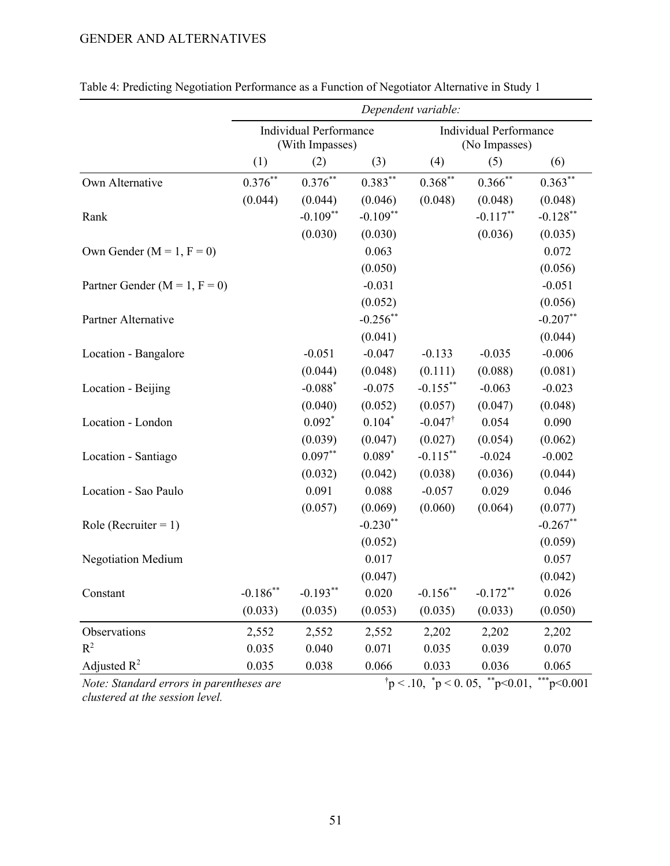|                                                                                          | Dependent variable:                              |                       |             |                    |                                                |              |  |
|------------------------------------------------------------------------------------------|--------------------------------------------------|-----------------------|-------------|--------------------|------------------------------------------------|--------------|--|
|                                                                                          | <b>Individual Performance</b><br>(With Impasses) |                       |             |                    | <b>Individual Performance</b><br>(No Impasses) |              |  |
|                                                                                          | (1)                                              | (2)                   | (3)         | (4)                | (5)                                            | (6)          |  |
| Own Alternative                                                                          | $0.376^{\ast\ast}$                               | $0.376^{\ast\ast}$    | $0.383***$  | $0.368^{**}$       | $0.366^{**}$                                   | $0.363***$   |  |
|                                                                                          | (0.044)                                          | (0.044)               | (0.046)     | (0.048)            | (0.048)                                        | (0.048)      |  |
| Rank                                                                                     |                                                  | $-0.109**$            | $-0.109**$  |                    | $-0.117***$                                    | $-0.128***$  |  |
|                                                                                          |                                                  | (0.030)               | (0.030)     |                    | (0.036)                                        | (0.035)      |  |
| Own Gender ( $M = 1$ , $F = 0$ )                                                         |                                                  |                       | 0.063       |                    |                                                | 0.072        |  |
|                                                                                          |                                                  |                       | (0.050)     |                    |                                                | (0.056)      |  |
| Partner Gender ( $M = 1$ , $F = 0$ )                                                     |                                                  |                       | $-0.031$    |                    |                                                | $-0.051$     |  |
|                                                                                          |                                                  |                       | (0.052)     |                    |                                                | (0.056)      |  |
| Partner Alternative                                                                      |                                                  |                       | $-0.256$ ** |                    |                                                | $-0.207**$   |  |
|                                                                                          |                                                  |                       | (0.041)     |                    |                                                | (0.044)      |  |
| Location - Bangalore                                                                     |                                                  | $-0.051$              | $-0.047$    | $-0.133$           | $-0.035$                                       | $-0.006$     |  |
|                                                                                          |                                                  | (0.044)               | (0.048)     | (0.111)            | (0.088)                                        | (0.081)      |  |
| Location - Beijing                                                                       |                                                  | $-0.088$ <sup>*</sup> | $-0.075$    | $-0.155***$        | $-0.063$                                       | $-0.023$     |  |
|                                                                                          |                                                  | (0.040)               | (0.052)     | (0.057)            | (0.047)                                        | (0.048)      |  |
| Location - London                                                                        |                                                  | $0.092*$              | $0.104*$    | $-0.047^{\dagger}$ | 0.054                                          | 0.090        |  |
|                                                                                          |                                                  | (0.039)               | (0.047)     | (0.027)            | (0.054)                                        | (0.062)      |  |
| Location - Santiago                                                                      |                                                  | $0.097**$             | $0.089*$    | $-0.115$ **        | $-0.024$                                       | $-0.002$     |  |
|                                                                                          |                                                  | (0.032)               | (0.042)     | (0.038)            | (0.036)                                        | (0.044)      |  |
| Location - Sao Paulo                                                                     |                                                  | 0.091                 | 0.088       | $-0.057$           | 0.029                                          | 0.046        |  |
|                                                                                          |                                                  | (0.057)               | (0.069)     | (0.060)            | (0.064)                                        | (0.077)      |  |
| Role (Recruiter = $1$ )                                                                  |                                                  |                       | $-0.230**$  |                    |                                                | $-0.267**$   |  |
|                                                                                          |                                                  |                       | (0.052)     |                    |                                                | (0.059)      |  |
| <b>Negotiation Medium</b>                                                                |                                                  |                       | 0.017       |                    |                                                | 0.057        |  |
|                                                                                          |                                                  |                       | (0.047)     |                    |                                                | (0.042)      |  |
| Constant                                                                                 | $\textbf{-0.186}^{\ast\ast}$                     | $-0.193**$            | 0.020       | $-0.156$ **        | $-0.172**$                                     | 0.026        |  |
|                                                                                          | (0.033)                                          | (0.035)               | (0.053)     | (0.035)            | (0.033)                                        | (0.050)      |  |
| Observations                                                                             | 2,552                                            | 2,552                 | 2,552       | 2,202              | 2,202                                          | 2,202        |  |
| $R^2$                                                                                    | 0.035                                            | 0.040                 | 0.071       | 0.035              | 0.039                                          | 0.070        |  |
| Adjusted $R^2$                                                                           | 0.035                                            | 0.038                 | 0.066       | 0.033              | 0.036                                          | 0.065        |  |
| $\phi$ = 0.10, $\phi$ = 0.05, $\phi$ = 0.01,<br>Note: Standard errors in parentheses are |                                                  |                       |             |                    |                                                | $***p<0.001$ |  |

*Note: Standard errors in parentheses are clustered at the session level.*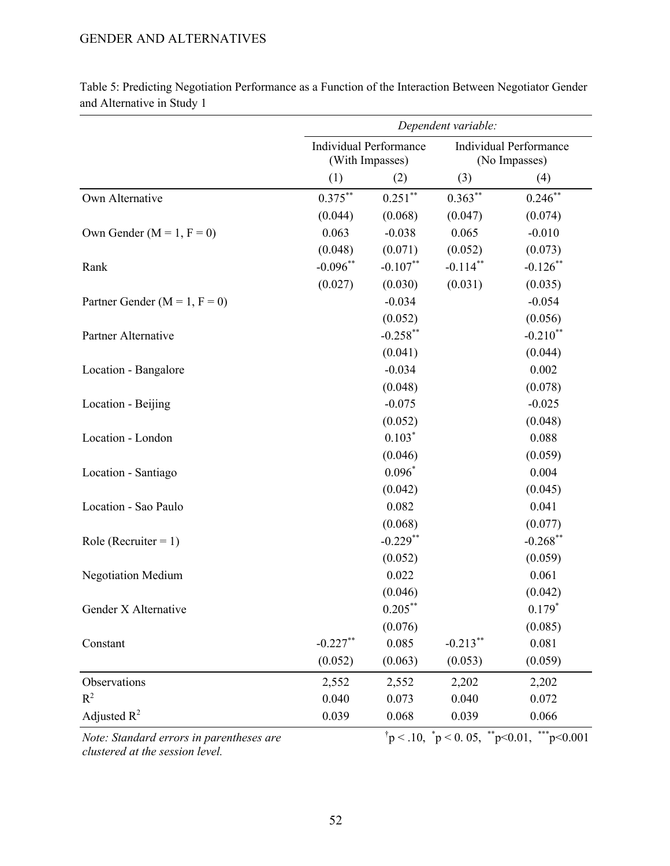|                                          |             |                                                  | Dependent variable:    |                                                                 |
|------------------------------------------|-------------|--------------------------------------------------|------------------------|-----------------------------------------------------------------|
|                                          |             | <b>Individual Performance</b><br>(With Impasses) |                        | <b>Individual Performance</b><br>(No Impasses)                  |
|                                          | (1)         | (2)                                              | (3)                    | (4)                                                             |
| Own Alternative                          | $0.375***$  | $0.251***$                                       | $0.363***$             | $0.246$ **                                                      |
|                                          | (0.044)     | (0.068)                                          | (0.047)                | (0.074)                                                         |
| Own Gender ( $M = 1$ , $F = 0$ )         | 0.063       | $-0.038$                                         | 0.065                  | $-0.010$                                                        |
|                                          | (0.048)     | (0.071)                                          | (0.052)                | (0.073)                                                         |
| Rank                                     | $-0.096**$  | $-0.107**$                                       | $-0.114***$            | $-0.126$ **                                                     |
|                                          | (0.027)     | (0.030)                                          | (0.031)                | (0.035)                                                         |
| Partner Gender ( $M = 1$ , $F = 0$ )     |             | $-0.034$                                         |                        | $-0.054$                                                        |
|                                          |             | (0.052)                                          |                        | (0.056)                                                         |
| Partner Alternative                      |             | $-0.258***$                                      |                        | $-0.210**$                                                      |
|                                          |             | (0.041)                                          |                        | (0.044)                                                         |
| Location - Bangalore                     |             | $-0.034$                                         |                        | 0.002                                                           |
|                                          |             | (0.048)                                          |                        | (0.078)                                                         |
| Location - Beijing                       |             | $-0.075$                                         |                        | $-0.025$                                                        |
|                                          |             | (0.052)                                          |                        | (0.048)                                                         |
| Location - London                        |             | $0.103*$                                         |                        | 0.088                                                           |
|                                          |             | (0.046)                                          |                        | (0.059)                                                         |
| Location - Santiago                      |             | $0.096*$                                         |                        | 0.004                                                           |
|                                          |             | (0.042)                                          |                        | (0.045)                                                         |
| Location - Sao Paulo                     |             | 0.082                                            |                        | 0.041                                                           |
|                                          |             | (0.068)                                          |                        | (0.077)                                                         |
| Role (Recruiter = $1$ )                  |             | $-0.229$ **                                      |                        | $-0.268$ **                                                     |
|                                          |             | (0.052)                                          |                        | (0.059)                                                         |
| <b>Negotiation Medium</b>                |             | 0.022                                            |                        | 0.061                                                           |
|                                          |             | (0.046)                                          |                        | (0.042)                                                         |
| Gender X Alternative                     |             | $0.205*$                                         |                        | $0.179$ <sup>*</sup>                                            |
|                                          |             | (0.076)                                          |                        | (0.085)                                                         |
| Constant                                 | $-0.227$ ** | 0.085                                            | $-0.213$ <sup>**</sup> | 0.081                                                           |
|                                          | (0.052)     | (0.063)                                          | (0.053)                | (0.059)                                                         |
| Observations                             | 2,552       | 2,552                                            | 2,202                  | 2,202                                                           |
| $R^2$                                    | 0.040       | 0.073                                            | 0.040                  | 0.072                                                           |
| Adjusted $R^2$                           | 0.039       | 0.068                                            | 0.039                  | 0.066                                                           |
| Note: Standard errors in parentheses are |             |                                                  |                        | $\phi$ + p < .10, $\phi$ + p < 0.05, ** p < 0.01, *** p < 0.001 |

Table 5: Predicting Negotiation Performance as a Function of the Interaction Between Negotiator Gender and Alternative in Study 1

*Note: Standard errors in parentheses are clustered at the session level.*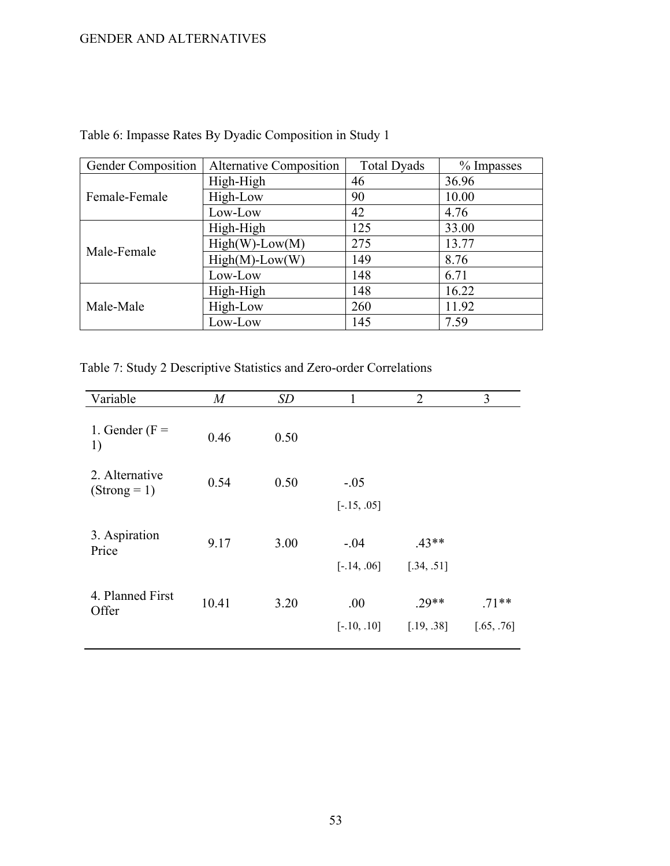| Gender Composition | Alternative Composition | <b>Total Dyads</b> | % Impasses |
|--------------------|-------------------------|--------------------|------------|
|                    | High-High               | 46                 | 36.96      |
| Female-Female      | High-Low                | 90                 | 10.00      |
|                    | Low-Low                 | 42                 | 4.76       |
| Male-Female        | High-High               | 125                | 33.00      |
|                    | $High(W)-Low(M)$        | 275                | 13.77      |
|                    | $High(M)-Low(W)$        | 149                | 8.76       |
|                    | Low-Low                 | 148                | 6.71       |
|                    | High-High               | 148                | 16.22      |
| Male-Male          | High-Low                | 260                | 11.92      |
|                    | Low-Low                 | 145                | 7.59       |

Table 6: Impasse Rates By Dyadic Composition in Study 1

Table 7: Study 2 Descriptive Statistics and Zero-order Correlations

| Variable                         | $\boldsymbol{M}$ | SD   | 1                       | $\overline{2}$        | 3                     |
|----------------------------------|------------------|------|-------------------------|-----------------------|-----------------------|
| 1. Gender ( $F =$<br>1)          | 0.46             | 0.50 |                         |                       |                       |
| 2. Alternative<br>$(Strong = 1)$ | 0.54             | 0.50 | $-.05$<br>$[-.15, .05]$ |                       |                       |
| 3. Aspiration<br>Price           | 9.17             | 3.00 | $-.04$<br>$[-.14, .06]$ | $.43**$<br>[.34, .51] |                       |
| 4. Planned First<br>Offer        | 10.41            | 3.20 | .00<br>$[-.10, .10]$    | $.29**$<br>[.19, .38] | $.71**$<br>[.65, .76] |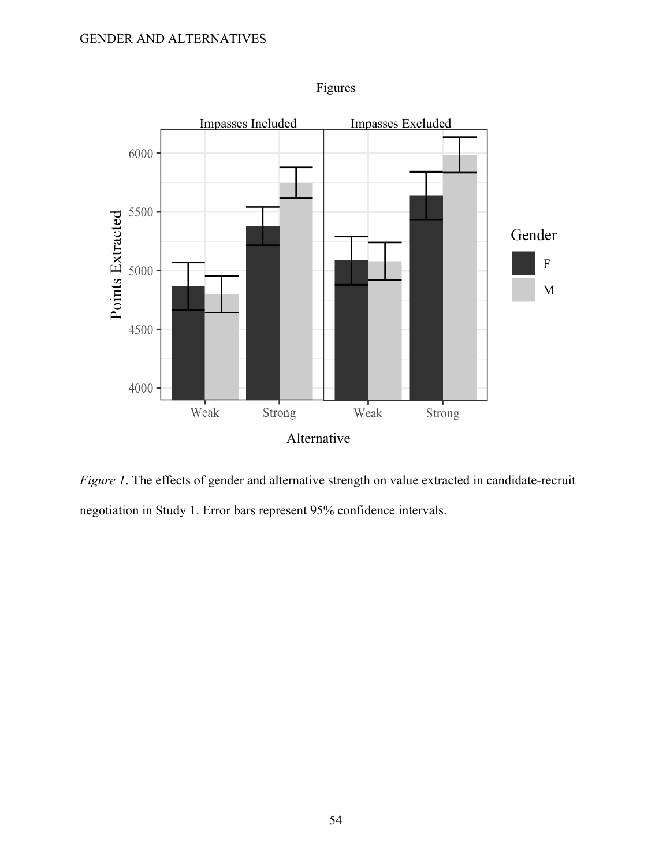

Figures

*Figure 1*. The effects of gender and alternative strength on value extracted in candidate-recruit negotiation in Study 1. Error bars represent 95% confidence intervals.